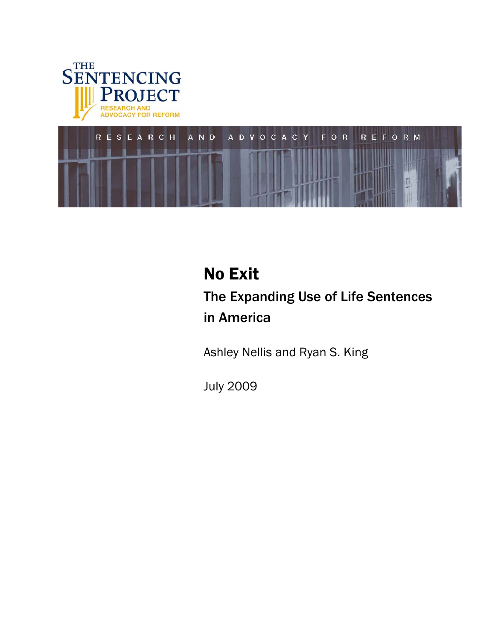



# No Exit The Expanding Use of Life Sentences in America

Ashley Nellis and Ryan S. King

July 2009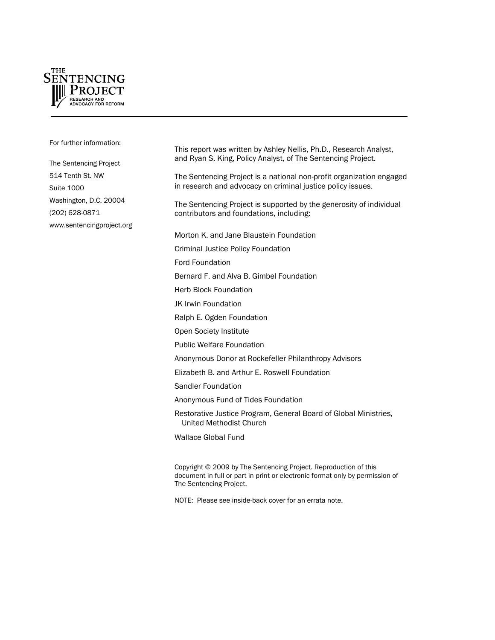

For further information:

The Sentencing Project 514 Tenth St. NW Suite 1000 Washington, D.C. 20004 (202) 628-0871 [www.sentencingproject.org](http://www.sentencingproject.org/) This report was written by Ashley Nellis, Ph.D., Research Analyst, and Ryan S. King, Policy Analyst, of The Sentencing Project.

The Sentencing Project is a national non-profit organization engaged in research and advocacy on criminal justice policy issues.

The Sentencing Project is supported by the generosity of individual contributors and foundations, including:

Morton K. and Jane Blaustein Foundation

Criminal Justice Policy Foundation

Ford Foundation

Bernard F. and Alva B. Gimbel Foundation

Herb Block Foundation

JK Irwin Foundation

Ralph E. Ogden Foundation

Open Society Institute

Public Welfare Foundation

Anonymous Donor at Rockefeller Philanthropy Advisors

Elizabeth B. and Arthur E. Roswell Foundation

Sandler Foundation

Anonymous Fund of Tides Foundation

Restorative Justice Program, General Board of Global Ministries, United Methodist Church

Wallace Global Fund

Copyright © 2009 by The Sentencing Project. Reproduction of this document in full or part in print or electronic format only by permission of The Sentencing Project.

NOTE: Please see inside-back cover for an errata note.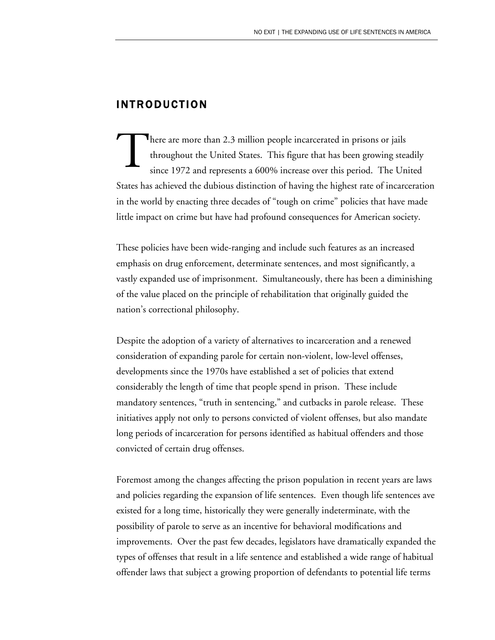# INTRODUCTION

here are more than 2.3 million people incarcerated in prisons or jails throughout the United States. This figure that has been growing steadily since 1972 and represents a 600% increase over this period. The United States has achieved the dubious distinction of having the highest rate of incarceration in the world by enacting three decades of "tough on crime" policies that have made little impact on crime but have had profound consequences for American society. T

These policies have been wide-ranging and include such features as an increased emphasis on drug enforcement, determinate sentences, and most significantly, a vastly expanded use of imprisonment. Simultaneously, there has been a diminishing of the value placed on the principle of rehabilitation that originally guided the nation's correctional philosophy.

Despite the adoption of a variety of alternatives to incarceration and a renewed consideration of expanding parole for certain non-violent, low-level offenses, developments since the 1970s have established a set of policies that extend considerably the length of time that people spend in prison. These include mandatory sentences, "truth in sentencing," and cutbacks in parole release. These initiatives apply not only to persons convicted of violent offenses, but also mandate long periods of incarceration for persons identified as habitual offenders and those convicted of certain drug offenses.

Foremost among the changes affecting the prison population in recent years are laws and policies regarding the expansion of life sentences. Even though life sentences ave existed for a long time, historically they were generally indeterminate, with the possibility of parole to serve as an incentive for behavioral modifications and improvements. Over the past few decades, legislators have dramatically expanded the types of offenses that result in a life sentence and established a wide range of habitual offender laws that subject a growing proportion of defendants to potential life terms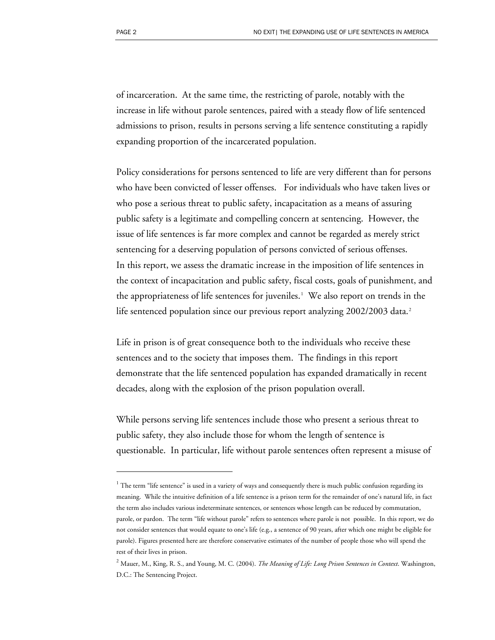of incarceration. At the same time, the restricting of parole, notably with the increase in life without parole sentences, paired with a steady flow of life sentenced admissions to prison, results in persons serving a life sentence constituting a rapidly expanding proportion of the incarcerated population.

Policy considerations for persons sentenced to life are very different than for persons who have been convicted of lesser offenses. For individuals who have taken lives or who pose a serious threat to public safety, incapacitation as a means of assuring public safety is a legitimate and compelling concern at sentencing. However, the issue of life sentences is far more complex and cannot be regarded as merely strict sentencing for a deserving population of persons convicted of serious offenses. In this report, we assess the dramatic increase in the imposition of life sentences in the context of incapacitation and public safety, fiscal costs, goals of punishment, and the appropriateness of life sentences for juveniles.[1](#page-3-0) We also report on trends in the life sentenced population since our previous report analyzing [2](#page-3-1)002/2003 data.<sup>2</sup>

Life in prison is of great consequence both to the individuals who receive these sentences and to the society that imposes them. The findings in this report demonstrate that the life sentenced population has expanded dramatically in recent decades, along with the explosion of the prison population overall.

While persons serving life sentences include those who present a serious threat to public safety, they also include those for whom the length of sentence is questionable. In particular, life without parole sentences often represent a misuse of

 $\overline{a}$ 

<span id="page-3-0"></span> $1$  The term "life sentence" is used in a variety of ways and consequently there is much public confusion regarding its meaning. While the intuitive definition of a life sentence is a prison term for the remainder of one's natural life, in fact the term also includes various indeterminate sentences, or sentences whose length can be reduced by commutation, parole, or pardon. The term "life without parole" refers to sentences where parole is not possible. In this report, we do not consider sentences that would equate to one's life (e.g., a sentence of 90 years, after which one might be eligible for parole). Figures presented here are therefore conservative estimates of the number of people those who will spend the rest of their lives in prison.

<span id="page-3-1"></span><sup>2</sup> Mauer, M., King, R. S., and Young, M. C. (2004). *The Meaning of Life: Long Prison Sentences in Context*. Washington, D.C.: The Sentencing Project.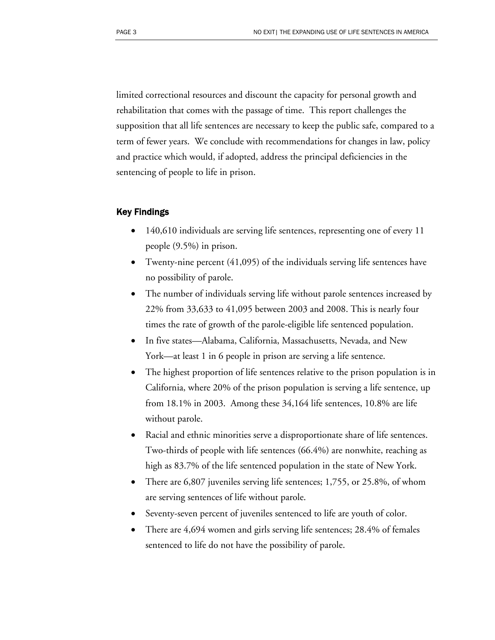limited correctional resources and discount the capacity for personal growth and rehabilitation that comes with the passage of time. This report challenges the supposition that all life sentences are necessary to keep the public safe, compared to a term of fewer years. We conclude with recommendations for changes in law, policy and practice which would, if adopted, address the principal deficiencies in the sentencing of people to life in prison.

#### Key Findings

- 140,610 individuals are serving life sentences, representing one of every 11 people (9.5%) in prison.
- Twenty-nine percent (41,095) of the individuals serving life sentences have no possibility of parole.
- The number of individuals serving life without parole sentences increased by 22% from 33,633 to 41,095 between 2003 and 2008. This is nearly four times the rate of growth of the parole-eligible life sentenced population.
- In five states—Alabama, California, Massachusetts, Nevada, and New York—at least 1 in 6 people in prison are serving a life sentence.
- The highest proportion of life sentences relative to the prison population is in California, where 20% of the prison population is serving a life sentence, up from 18.1% in 2003. Among these 34,164 life sentences, 10.8% are life without parole.
- Racial and ethnic minorities serve a disproportionate share of life sentences. Two-thirds of people with life sentences (66.4%) are nonwhite, reaching as high as 83.7% of the life sentenced population in the state of New York.
- There are 6,807 juveniles serving life sentences; 1,755, or 25.8%, of whom are serving sentences of life without parole.
- Seventy-seven percent of juveniles sentenced to life are youth of color.
- There are 4,694 women and girls serving life sentences; 28.4% of females sentenced to life do not have the possibility of parole.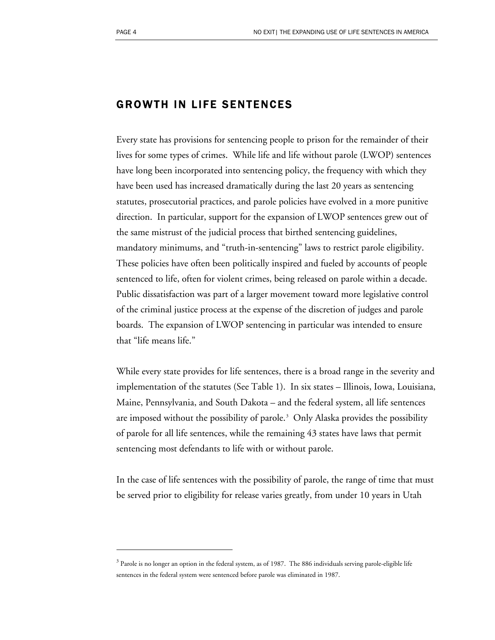<u>.</u>

# GROWTH IN LIFE SENTENCES

Every state has provisions for sentencing people to prison for the remainder of their lives for some types of crimes. While life and life without parole (LWOP) sentences have long been incorporated into sentencing policy, the frequency with which they have been used has increased dramatically during the last 20 years as sentencing statutes, prosecutorial practices, and parole policies have evolved in a more punitive direction. In particular, support for the expansion of LWOP sentences grew out of the same mistrust of the judicial process that birthed sentencing guidelines, mandatory minimums, and "truth-in-sentencing" laws to restrict parole eligibility. These policies have often been politically inspired and fueled by accounts of people sentenced to life, often for violent crimes, being released on parole within a decade. Public dissatisfaction was part of a larger movement toward more legislative control of the criminal justice process at the expense of the discretion of judges and parole boards. The expansion of LWOP sentencing in particular was intended to ensure that "life means life."

While every state provides for life sentences, there is a broad range in the severity and implementation of the statutes (See Table 1). In six states – Illinois, Iowa, Louisiana, Maine, Pennsylvania, and South Dakota – and the federal system, all life sentences are imposed without the possibility of parole.<sup>[3](#page-5-0)</sup> Only Alaska provides the possibility of parole for all life sentences, while the remaining 43 states have laws that permit sentencing most defendants to life with or without parole.

In the case of life sentences with the possibility of parole, the range of time that must be served prior to eligibility for release varies greatly, from under 10 years in Utah

<span id="page-5-0"></span> $3$  Parole is no longer an option in the federal system, as of 1987. The 886 individuals serving parole-eligible life sentences in the federal system were sentenced before parole was eliminated in 1987.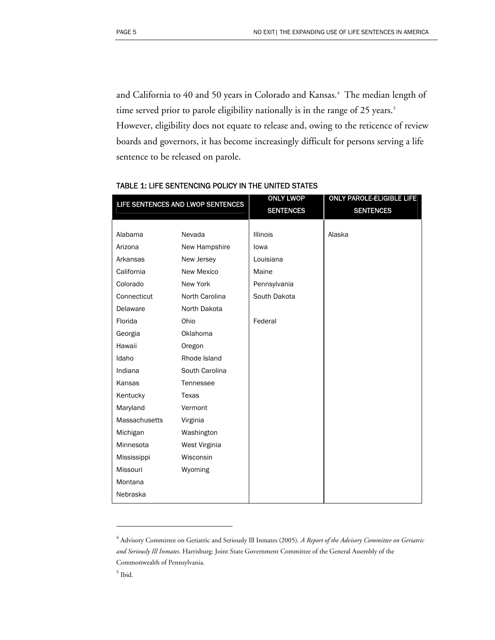and California to [4](#page-6-0)0 and 50 years in Colorado and Kansas.<sup>4</sup> The median length of time served prior to parole eligibility nationally is in the range of 2[5](#page-6-1) years.<sup>5</sup> However, eligibility does not equate to release and, owing to the reticence of review boards and governors, it has become increasingly difficult for persons serving a life sentence to be released on parole.

| LIFE SENTENCES AND LWOP SENTENCES |                | <b>ONLY LWOP</b><br><b>SENTENCES</b> | <b>ONLY PAROLE-ELIGIBLE LIFE</b><br><b>SENTENCES</b> |
|-----------------------------------|----------------|--------------------------------------|------------------------------------------------------|
|                                   |                |                                      |                                                      |
| Alabama                           | Nevada         | <b>Illinois</b>                      | Alaska                                               |
| Arizona                           | New Hampshire  | lowa                                 |                                                      |
| Arkansas                          | New Jersey     | Louisiana                            |                                                      |
| California                        | New Mexico     | Maine                                |                                                      |
| Colorado                          | New York       | Pennsylvania                         |                                                      |
| Connecticut                       | North Carolina | South Dakota                         |                                                      |
| Delaware                          | North Dakota   |                                      |                                                      |
| Florida                           | Ohio           | Federal                              |                                                      |
| Georgia                           | Oklahoma       |                                      |                                                      |
| Hawaii                            | Oregon         |                                      |                                                      |
| Idaho                             | Rhode Island   |                                      |                                                      |
| Indiana                           | South Carolina |                                      |                                                      |
| Kansas                            | Tennessee      |                                      |                                                      |
| Kentucky                          | Texas          |                                      |                                                      |
| Maryland                          | Vermont        |                                      |                                                      |
| Massachusetts                     | Virginia       |                                      |                                                      |
| Michigan                          | Washington     |                                      |                                                      |
| Minnesota                         | West Virginia  |                                      |                                                      |
| Mississippi                       | Wisconsin      |                                      |                                                      |
| Missouri                          | Wyoming        |                                      |                                                      |
| Montana                           |                |                                      |                                                      |
| Nebraska                          |                |                                      |                                                      |

#### TABLE 1: LIFE SENTENCING POLICY IN THE UNITED STATES

 $\overline{a}$ 

<span id="page-6-0"></span><sup>4</sup> Advisory Committee on Geriatric and Seriously Ill Inmates (2005). *A Report of the Advisory Committee on Geriatric and Seriously Ill Inmates*. Harrisburg: Joint State Government Committee of the General Assembly of the Commonwealth of Pennsylvania.

<span id="page-6-1"></span> $<sup>5</sup>$  Ibid.</sup>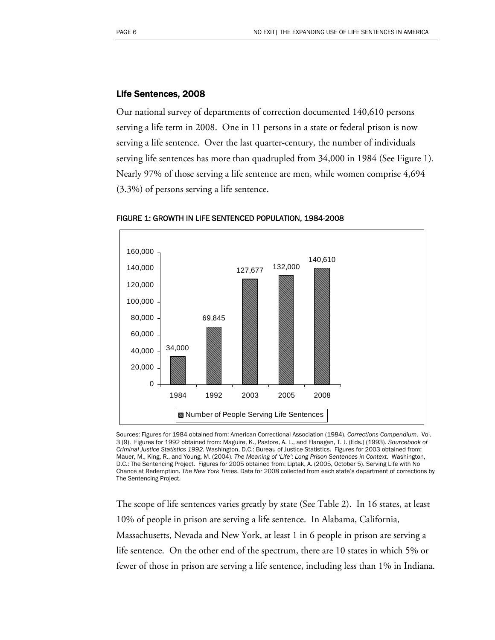#### Life Sentences, 2008

Our national survey of departments of correction documented 140,610 persons serving a life term in 2008. One in 11 persons in a state or federal prison is now serving a life sentence. Over the last quarter-century, the number of individuals serving life sentences has more than quadrupled from 34,000 in 1984 (See Figure 1). Nearly 97% of those serving a life sentence are men, while women comprise 4,694 (3.3%) of persons serving a life sentence.



FIGURE 1: GROWTH IN LIFE SENTENCED POPULATION, 1984-2008

Sources: Figures for 1984 obtained from: American Correctional Association (1984). *Corrections Compendium*. Vol. 3 (9). Figures for 1992 obtained from: Maguire, K., Pastore, A. L., and Flanagan, T. J. (Eds.) (1993). *Sourcebook of Criminal Justice Statistics 1992*. Washington, D.C.: Bureau of Justice Statistics. Figures for 2003 obtained from: Mauer, M., King, R., and Young, M. (2004). *The Meaning of 'Life': Long Prison Sentences in Context.* Washington, D.C.: The Sentencing Project. Figures for 2005 obtained from: Liptak, A. (2005, October 5). Serving Life with No Chance at Redemption. *The New York Times*. Data for 2008 collected from each state's department of corrections by The Sentencing Project.

The scope of life sentences varies greatly by state (See Table 2). In 16 states, at least 10% of people in prison are serving a life sentence. In Alabama, California, Massachusetts, Nevada and New York, at least 1 in 6 people in prison are serving a life sentence. On the other end of the spectrum, there are 10 states in which 5% or fewer of those in prison are serving a life sentence, including less than 1% in Indiana.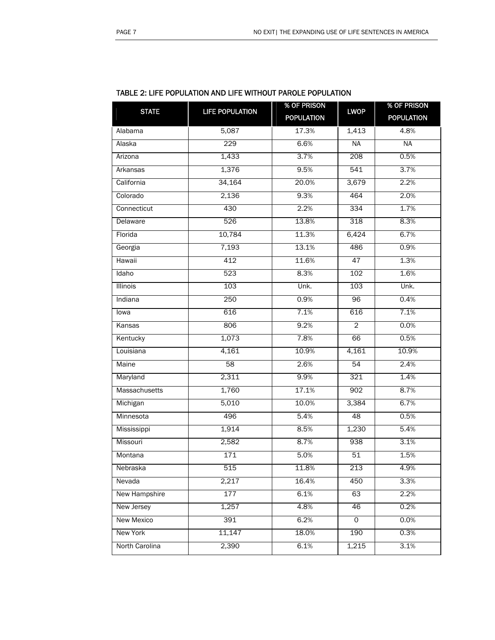| <b>STATE</b>      | <b>LIFE POPULATION</b> | % OF PRISON       | <b>LWOP</b>    | % OF PRISON       |
|-------------------|------------------------|-------------------|----------------|-------------------|
|                   |                        | <b>POPULATION</b> |                | <b>POPULATION</b> |
| Alabama           | 5,087                  | 17.3%             | 1,413          | 4.8%              |
| Alaska            | 229                    | 6.6%              | <b>NA</b>      | <b>NA</b>         |
| Arizona           | 1,433                  | 3.7%              | 208            | 0.5%              |
| Arkansas          | 1,376                  | 9.5%              | 541            | 3.7%              |
| California        | 34,164                 | 20.0%             | 3,679          | 2.2%              |
| Colorado          | 2,136                  | 9.3%              | 464            | 2.0%              |
| Connecticut       | 430                    | 2.2%              | 334            | 1.7%              |
| Delaware          | 526                    | 13.8%             | 318            | 8.3%              |
| Florida           | 10,784                 | 11.3%             | 6,424          | 6.7%              |
| Georgia           | 7,193                  | 13.1%             | 486            | 0.9%              |
| Hawaii            | 412                    | 11.6%             | 47             | 1.3%              |
| Idaho             | 523                    | 8.3%              | 102            | 1.6%              |
| <b>Illinois</b>   | 103                    | Unk.              | 103            | Unk.              |
| Indiana           | 250                    | 0.9%              | 96             | 0.4%              |
| lowa              | 616                    | 7.1%              | 616            | 7.1%              |
| Kansas            | 806                    | 9.2%              | $\overline{2}$ | 0.0%              |
| Kentucky          | 1,073                  | 7.8%              | 66             | 0.5%              |
| Louisiana         | 4,161                  | 10.9%             | 4,161          | 10.9%             |
| Maine             | 58                     | 2.6%              | 54             | 2.4%              |
| Maryland          | 2,311                  | 9.9%              | 321            | 1.4%              |
| Massachusetts     | 1,760                  | 17.1%             | 902            | 8.7%              |
| Michigan          | 5,010                  | 10.0%             | 3,384          | 6.7%              |
| Minnesota         | 496                    | 5.4%              | 48             | 0.5%              |
| Mississippi       | 1,914                  | 8.5%              | 1,230          | 5.4%              |
| Missouri          | 2,582                  | 8.7%              | 938            | 3.1%              |
| Montana           | 171                    | 5.0%              | 51             | 1.5%              |
| Nebraska          | 515                    | 11.8%             | 213            | 4.9%              |
| Nevada            | 2,217                  | 16.4%             | 450            | 3.3%              |
| New Hampshire     | 177                    | 6.1%              | 63             | 2.2%              |
| New Jersey        | 1,257                  | 4.8%              | 46             | 0.2%              |
| <b>New Mexico</b> | 391                    | 6.2%              | $\Omega$       | 0.0%              |
| New York          | 11,147                 | 18.0%             | 190            | 0.3%              |
| North Carolina    | 2,390                  | 6.1%              | 1,215          | 3.1%              |

#### TABLE 2: LIFE POPULATION AND LIFE WITHOUT PAROLE POPULATION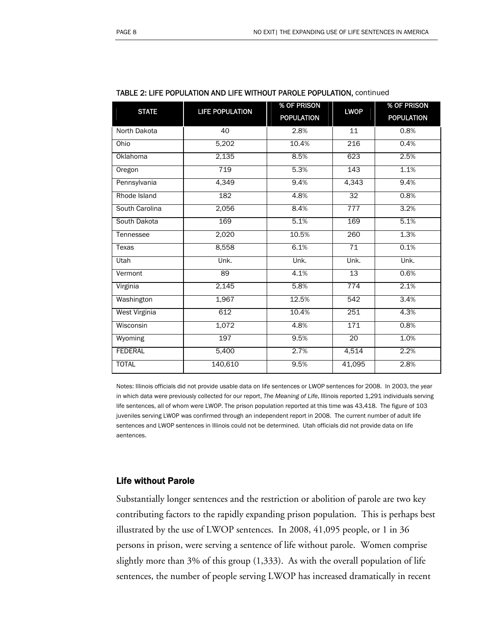| <b>STATE</b>         | <b>LIFE POPULATION</b> | % OF PRISON       | <b>LWOP</b>      | % OF PRISON       |
|----------------------|------------------------|-------------------|------------------|-------------------|
|                      |                        | <b>POPULATION</b> |                  | <b>POPULATION</b> |
| North Dakota         | 40                     | 2.8%              | 11               | 0.8%              |
| Ohio                 | 5,202                  | 10.4%             | $\overline{216}$ | 0.4%              |
| <b>Oklahoma</b>      | 2,135                  | 8.5%              | 623              | 2.5%              |
| Oregon               | 719                    | 5.3%              | 143              | 1.1%              |
| Pennsylvania         | 4,349                  | 9.4%              | 4,343            | 9.4%              |
| Rhode Island         | 182                    | 4.8%              | $\overline{32}$  | 0.8%              |
| South Carolina       | 2,056                  | 8.4%              | 777              | 3.2%              |
| South Dakota         | 169                    | 5.1%              | 169              | 5.1%              |
| Tennessee            | 2,020                  | 10.5%             | 260              | 1.3%              |
| <b>Texas</b>         | 8,558                  | 6.1%              | 71               | 0.1%              |
| Utah                 | Unk.                   | Unk.              | Unk.             | Unk.              |
| Vermont              | 89                     | 4.1%              | $\overline{13}$  | 0.6%              |
| Virginia             | 2,145                  | 5.8%              | $\overline{774}$ | 2.1%              |
| Washington           | 1,967                  | 12.5%             | $\overline{542}$ | 3.4%              |
| <b>West Virginia</b> | 612                    | 10.4%             | 251              | 4.3%              |
| Wisconsin            | 1,072                  | 4.8%              | 171              | 0.8%              |
| Wyoming              | 197                    | 9.5%              | 20               | 1.0%              |
| <b>FEDERAL</b>       | 5,400                  | 2.7%              | 4,514            | 2.2%              |
| <b>TOTAL</b>         | 140,610                | 9.5%              | 41,095           | 2.8%              |

#### TABLE 2: LIFE POPULATION AND LIFE WITHOUT PAROLE POPULATION, continued

Notes: Illinois officials did not provide usable data on life sentences or LWOP sentences for 2008. In 2003, the year in which data were previously collected for our report, *The Meaning of Life*, Illinois reported 1,291 individuals serving life sentences, all of whom were LWOP. The prison population reported at this time was 43,418. The figure of 103 juveniles serving LWOP was confirmed through an independent report in 2008. The current number of adult life sentences and LWOP sentences in Illinois could not be determined. Utah officials did not provide data on life aentences.

#### Life without Parole

Substantially longer sentences and the restriction or abolition of parole are two key contributing factors to the rapidly expanding prison population. This is perhaps best illustrated by the use of LWOP sentences. In 2008, 41,095 people, or 1 in 36 persons in prison, were serving a sentence of life without parole. Women comprise slightly more than 3% of this group (1,333). As with the overall population of life sentences, the number of people serving LWOP has increased dramatically in recent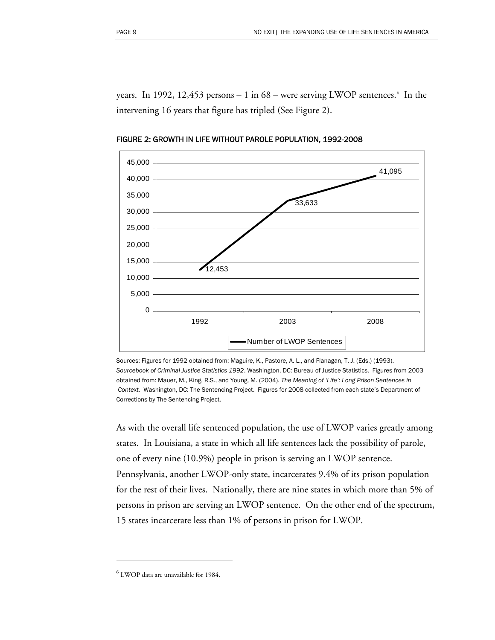years. In 1992, 12,453 persons  $-1$  in [6](#page-10-0)8 – were serving LWOP sentences.<sup>6</sup> In the intervening 16 years that figure has tripled (See Figure 2).



FIGURE 2: GROWTH IN LIFE WITHOUT PAROLE POPULATION, 1992-2008

Sources: Figures for 1992 obtained from: Maguire, K., Pastore, A. L., and Flanagan, T. J. (Eds.) (1993). *Sourcebook of Criminal Justice Statistics 1992*. Washington, DC: Bureau of Justice Statistics. Figures from 2003 obtained from: Mauer, M., King, R.S., and Young, M. (2004). *The Meaning of 'Life': Long Prison Sentences in Context.* Washington, DC: The Sentencing Project. Figures for 2008 collected from each state's Department of Corrections by The Sentencing Project.

As with the overall life sentenced population, the use of LWOP varies greatly among states. In Louisiana, a state in which all life sentences lack the possibility of parole, one of every nine (10.9%) people in prison is serving an LWOP sentence. Pennsylvania, another LWOP-only state, incarcerates 9.4% of its prison population for the rest of their lives. Nationally, there are nine states in which more than 5% of persons in prison are serving an LWOP sentence. On the other end of the spectrum, 15 states incarcerate less than 1% of persons in prison for LWOP.

-

<span id="page-10-0"></span> $^6$  LWOP data are unavailable for 1984.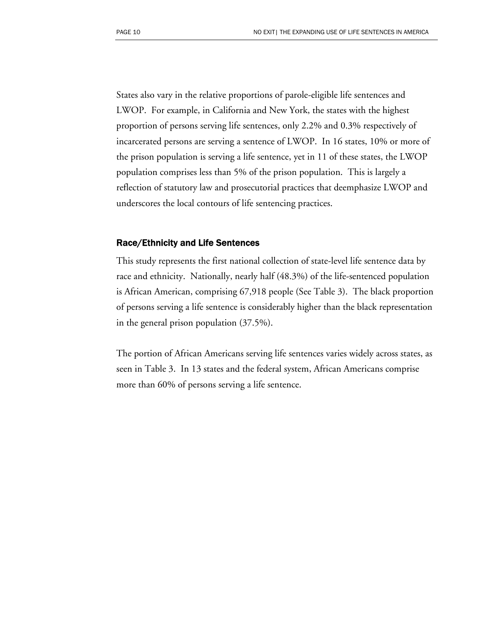States also vary in the relative proportions of parole-eligible life sentences and LWOP. For example, in California and New York, the states with the highest proportion of persons serving life sentences, only 2.2% and 0.3% respectively of incarcerated persons are serving a sentence of LWOP. In 16 states, 10% or more of the prison population is serving a life sentence, yet in 11 of these states, the LWOP population comprises less than 5% of the prison population. This is largely a reflection of statutory law and prosecutorial practices that deemphasize LWOP and underscores the local contours of life sentencing practices.

#### Race/Ethnicity and Life Sentences

This study represents the first national collection of state-level life sentence data by race and ethnicity. Nationally, nearly half (48.3%) of the life-sentenced population is African American, comprising 67,918 people (See Table 3). The black proportion of persons serving a life sentence is considerably higher than the black representation in the general prison population (37.5%).

The portion of African Americans serving life sentences varies widely across states, as seen in Table 3. In 13 states and the federal system, African Americans comprise more than 60% of persons serving a life sentence.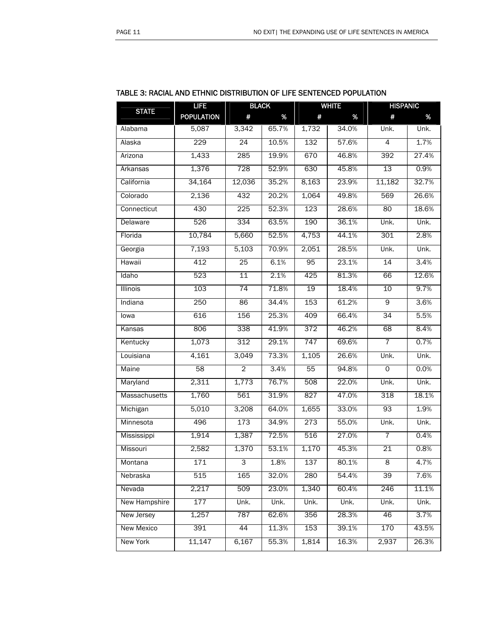| <b>STATE</b>      | <b>LIFE</b>       | <b>BLACK</b>    |       |       | <b>WHITE</b> | <b>HISPANIC</b> |       |
|-------------------|-------------------|-----------------|-------|-------|--------------|-----------------|-------|
|                   | <b>POPULATION</b> | #               | %     | #     | %            | #               | %     |
| Alabama           | 5,087             | 3,342           | 65.7% | 1,732 | 34.0%        | Unk.            | Unk.  |
| Alaska            | 229               | 24              | 10.5% | 132   | 57.6%        | 4               | 1.7%  |
| Arizona           | 1,433             | 285             | 19.9% | 670   | 46.8%        | 392             | 27.4% |
| Arkansas          | 1,376             | 728             | 52.9% | 630   | 45.8%        | 13              | 0.9%  |
| California        | 34,164            | 12,036          | 35.2% | 8,163 | 23.9%        | 11,182          | 32.7% |
| Colorado          | 2,136             | 432             | 20.2% | 1,064 | 49.8%        | 569             | 26.6% |
| Connecticut       | 430               | 225             | 52.3% | 123   | 28.6%        | 80              | 18.6% |
| Delaware          | 526               | 334             | 63.5% | 190   | 36.1%        | Unk.            | Unk.  |
| Florida           | 10,784            | 5,660           | 52.5% | 4,753 | 44.1%        | 301             | 2.8%  |
| Georgia           | 7,193             | 5,103           | 70.9% | 2,051 | 28.5%        | Unk.            | Unk.  |
| Hawaii            | 412               | 25              | 6.1%  | 95    | 23.1%        | $\overline{14}$ | 3.4%  |
| Idaho             | 523               | $\overline{11}$ | 2.1%  | 425   | 81.3%        | 66              | 12.6% |
| Illinois          | 103               | 74              | 71.8% | 19    | 18.4%        | 10              | 9.7%  |
| Indiana           | 250               | 86              | 34.4% | 153   | 61.2%        | 9               | 3.6%  |
| lowa              | 616               | 156             | 25.3% | 409   | 66.4%        | 34              | 5.5%  |
| Kansas            | 806               | 338             | 41.9% | 372   | 46.2%        | 68              | 8.4%  |
| Kentucky          | 1,073             | 312             | 29.1% | 747   | 69.6%        | $\overline{7}$  | 0.7%  |
| Louisiana         | 4,161             | 3,049           | 73.3% | 1,105 | 26.6%        | Unk.            | Unk.  |
| Maine             | 58                | $\overline{2}$  | 3.4%  | 55    | 94.8%        | 0               | 0.0%  |
| Maryland          | 2,311             | 1,773           | 76.7% | 508   | 22.0%        | Unk.            | Unk.  |
| Massachusetts     | 1,760             | 561             | 31.9% | 827   | 47.0%        | 318             | 18.1% |
| Michigan          | 5,010             | 3,208           | 64.0% | 1,655 | 33.0%        | 93              | 1.9%  |
| Minnesota         | 496               | 173             | 34.9% | 273   | 55.0%        | Unk.            | Unk.  |
| Mississippi       | 1,914             | 1,387           | 72.5% | 516   | 27.0%        | $\overline{7}$  | 0.4%  |
| Missouri          | 2,582             | 1,370           | 53.1% | 1,170 | 45.3%        | $\overline{21}$ | 0.8%  |
| Montana           | 171               | $\overline{3}$  | 1.8%  | 137   | 80.1%        | $\overline{8}$  | 4.7%  |
| Nebraska          | 515               | 165             | 32.0% | 280   | 54.4%        | 39              | 7.6%  |
| Nevada            | 2,217             | 509             | 23.0% | 1,340 | 60.4%        | 246             | 11.1% |
| New Hampshire     | 177               | Unk.            | Unk.  | Unk.  | Unk.         | Unk.            | Unk.  |
| New Jersey        | 1,257             | 787             | 62.6% | 356   | 28.3%        | 46              | 3.7%  |
| <b>New Mexico</b> | 391               | 44              | 11.3% | 153   | 39.1%        | 170             | 43.5% |
| New York          | 11,147            | 6,167           | 55.3% | 1,814 | 16.3%        | 2,937           | 26.3% |

#### TABLE 3: RACIAL AND ETHNIC DISTRIBUTION OF LIFE SENTENCED POPULATION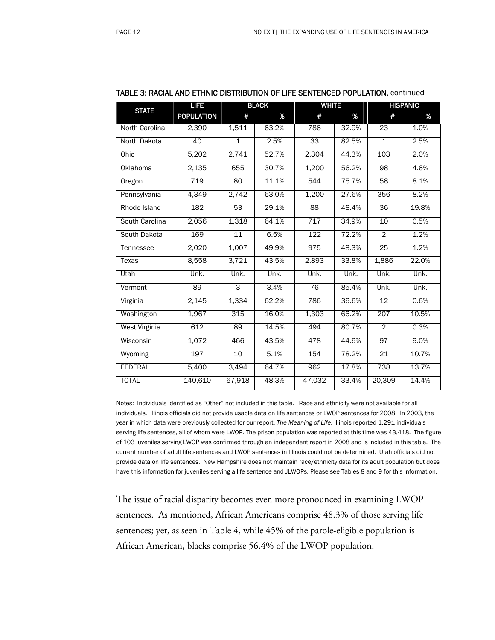|                      | <b>LIFE</b>       | <b>BLACK</b>    |       | <b>WHITE</b>     |       | <b>HISPANIC</b> |       |
|----------------------|-------------------|-----------------|-------|------------------|-------|-----------------|-------|
| <b>STATE</b>         | <b>POPULATION</b> | #               | %     | #                | %     | #               | %     |
| North Carolina       | 2,390             | 1,511           | 63.2% | 786              | 32.9% | 23              | 1.0%  |
| North Dakota         | 40                | $\mathbf{1}$    | 2.5%  | 33               | 82.5% | $\mathbf{1}$    | 2.5%  |
| Ohio                 | 5,202             | 2,741           | 52.7% | 2,304            | 44.3% | 103             | 2.0%  |
| Oklahoma             | 2,135             | 655             | 30.7% | 1,200            | 56.2% | $\overline{98}$ | 4.6%  |
| Oregon               | 719               | 80              | 11.1% | 544              | 75.7% | 58              | 8.1%  |
| Pennsylvania         | 4,349             | 2,742           | 63.0% | 1,200            | 27.6% | 356             | 8.2%  |
| Rhode Island         | 182               | 53              | 29.1% | $\overline{88}$  | 48.4% | $\overline{36}$ | 19.8% |
| South Carolina       | 2,056             | 1,318           | 64.1% | 717              | 34.9% | 10              | 0.5%  |
| South Dakota         | 169               | $\overline{11}$ | 6.5%  | $\overline{122}$ | 72.2% | $\overline{2}$  | 1.2%  |
| Tennessee            | 2,020             | 1,007           | 49.9% | 975              | 48.3% | 25              | 1.2%  |
| <b>Texas</b>         | 8,558             | 3,721           | 43.5% | 2,893            | 33.8% | 1,886           | 22.0% |
| Utah                 | Unk.              | Unk.            | Unk.  | Unk.             | Unk.  | Unk.            | Unk.  |
| Vermont              | 89                | 3               | 3.4%  | 76               | 85.4% | Unk.            | Unk.  |
| Virginia             | 2,145             | 1,334           | 62.2% | 786              | 36.6% | 12              | 0.6%  |
| Washington           | 1,967             | 315             | 16.0% | 1,303            | 66.2% | 207             | 10.5% |
| <b>West Virginia</b> | 612               | 89              | 14.5% | 494              | 80.7% | $\overline{2}$  | 0.3%  |
| Wisconsin            | 1,072             | 466             | 43.5% | 478              | 44.6% | 97              | 9.0%  |
| Wyoming              | 197               | 10              | 5.1%  | 154              | 78.2% | $\overline{21}$ | 10.7% |
| <b>FEDERAL</b>       | 5,400             | 3,494           | 64.7% | 962              | 17.8% | 738             | 13.7% |
| <b>TOTAL</b>         | 140,610           | 67,918          | 48.3% | 47,032           | 33.4% | 20,309          | 14.4% |

#### TABLE 3: RACIAL AND ETHNIC DISTRIBUTION OF LIFE SENTENCED POPULATION, continued

Notes: Individuals identified as "Other" not included in this table. Race and ethnicity were not available for all individuals. Illinois officials did not provide usable data on life sentences or LWOP sentences for 2008. In 2003, the year in which data were previously collected for our report, *The Meaning of Life*, Illinois reported 1,291 individuals serving life sentences, all of whom were LWOP. The prison population was reported at this time was 43,418. The figure of 103 juveniles serving LWOP was confirmed through an independent report in 2008 and is included in this table. The current number of adult life sentences and LWOP sentences in Illinois could not be determined. Utah officials did not provide data on life sentences. New Hampshire does not maintain race/ethnicity data for its adult population but does have this information for juveniles serving a life sentence and JLWOPs. Please see Tables 8 and 9 for this information.

The issue of racial disparity becomes even more pronounced in examining LWOP sentences. As mentioned, African Americans comprise 48.3% of those serving life sentences; yet, as seen in Table 4, while 45% of the parole-eligible population is African American, blacks comprise 56.4% of the LWOP population.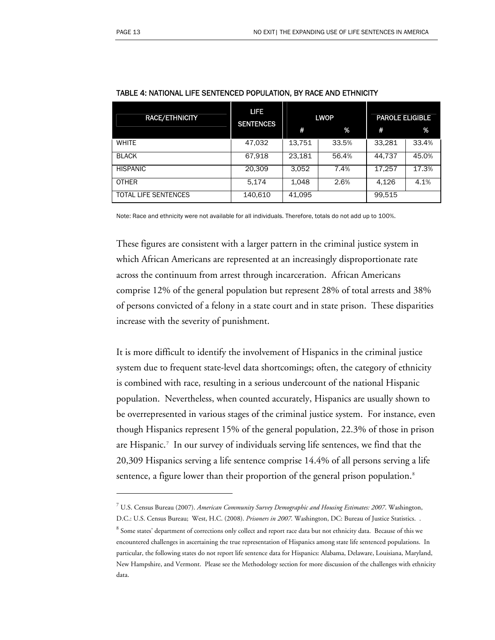-

| <b>RACE/ETHNICITY</b>       | LIFE<br><b>SENTENCES</b> | <b>LWOP</b> |       | <b>PAROLE ELIGIBLE</b> |       |
|-----------------------------|--------------------------|-------------|-------|------------------------|-------|
|                             |                          | #           | %     | #                      | %     |
| <b>WHITE</b>                | 47,032                   | 13,751      | 33.5% | 33,281                 | 33.4% |
| <b>BLACK</b>                | 67,918                   | 23,181      | 56.4% | 44,737                 | 45.0% |
| <b>HISPANIC</b>             | 20,309                   | 3,052       | 7.4%  | 17,257                 | 17.3% |
| <b>OTHER</b>                | 5,174                    | 1,048       | 2.6%  | 4,126                  | 4.1%  |
| <b>TOTAL LIFE SENTENCES</b> | 140,610                  | 41,095      |       | 99,515                 |       |

Note: Race and ethnicity were not available for all individuals. Therefore, totals do not add up to 100%.

These figures are consistent with a larger pattern in the criminal justice system in which African Americans are represented at an increasingly disproportionate rate across the continuum from arrest through incarceration. African Americans comprise 12% of the general population but represent 28% of total arrests and 38% of persons convicted of a felony in a state court and in state prison. These disparities increase with the severity of punishment.

It is more difficult to identify the involvement of Hispanics in the criminal justice system due to frequent state-level data shortcomings; often, the category of ethnicity is combined with race, resulting in a serious undercount of the national Hispanic population. Nevertheless, when counted accurately, Hispanics are usually shown to be overrepresented in various stages of the criminal justice system. For instance, even though Hispanics represent 15% of the general population, 22.3% of those in prison are Hispanic.[7](#page-14-0) In our survey of individuals serving life sentences, we find that the 20,309 Hispanics serving a life sentence comprise 14.4% of all persons serving a life sentence, a figure lower than their proportion of the general prison population.<sup>[8](#page-14-1)</sup>

<sup>7</sup> U.S. Census Bureau (2007). *American Community Survey Demographic and Housing Estimates: 2007*. Washington,

<span id="page-14-1"></span><span id="page-14-0"></span>D.C.: U.S. Census Bureau; West, H.C. (2008). *Prisoners in 2007.* Washington, DC: Bureau of Justice Statistics. .  $^8$  Some states' department of corrections only collect and report race data but not ethnicity data. Because of this we encountered challenges in ascertaining the true representation of Hispanics among state life sentenced populations. In particular, the following states do not report life sentence data for Hispanics: Alabama, Delaware, Louisiana, Maryland,

New Hampshire, and Vermont. Please see the Methodology section for more discussion of the challenges with ethnicity data.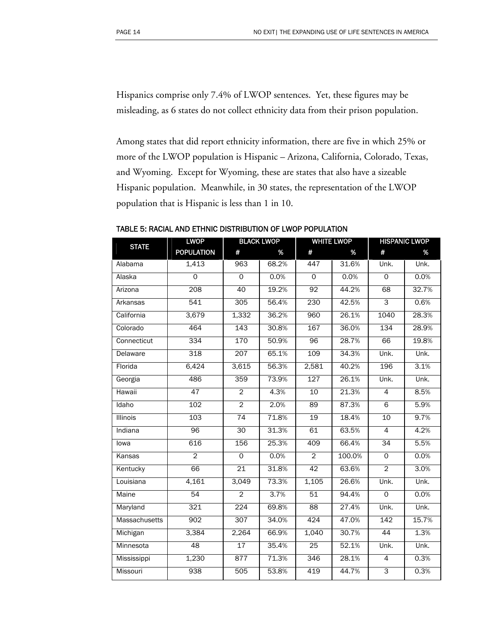Hispanics comprise only 7.4% of LWOP sentences. Yet, these figures may be misleading, as 6 states do not collect ethnicity data from their prison population.

Among states that did report ethnicity information, there are five in which 25% or more of the LWOP population is Hispanic – Arizona, California, Colorado, Texas, and Wyoming. Except for Wyoming, these are states that also have a sizeable Hispanic population. Meanwhile, in 30 states, the representation of the LWOP population that is Hispanic is less than 1 in 10.

| <b>STATE</b>  | <b>LWOP</b>       | <b>BLACK LWOP</b> |       | <b>WHITE LWOP</b> |        | <b>HISPANIC LWOP</b> |       |
|---------------|-------------------|-------------------|-------|-------------------|--------|----------------------|-------|
|               | <b>POPULATION</b> | #                 | %     | #                 | %      | #                    | %     |
| Alabama       | 1,413             | 963               | 68.2% | 447               | 31.6%  | Unk.                 | Unk.  |
| Alaska        | $\overline{0}$    | $\mathsf{O}$      | 0.0%  | $\Omega$          | 0.0%   | $\Omega$             | 0.0%  |
| Arizona       | 208               | 40                | 19.2% | 92                | 44.2%  | 68                   | 32.7% |
| Arkansas      | 541               | 305               | 56.4% | 230               | 42.5%  | 3                    | 0.6%  |
| California    | 3,679             | 1,332             | 36.2% | 960               | 26.1%  | 1040                 | 28.3% |
| Colorado      | 464               | 143               | 30.8% | 167               | 36.0%  | 134                  | 28.9% |
| Connecticut   | 334               | 170               | 50.9% | 96                | 28.7%  | 66                   | 19.8% |
| Delaware      | 318               | 207               | 65.1% | 109               | 34.3%  | Unk.                 | Unk.  |
| Florida       | 6,424             | 3,615             | 56.3% | 2,581             | 40.2%  | 196                  | 3.1%  |
| Georgia       | 486               | 359               | 73.9% | 127               | 26.1%  | Unk.                 | Unk.  |
| Hawaii        | 47                | $\overline{2}$    | 4.3%  | 10                | 21.3%  | $\overline{4}$       | 8.5%  |
| Idaho         | 102               | $\overline{2}$    | 2.0%  | 89                | 87.3%  | 6                    | 5.9%  |
| Illinois      | 103               | 74                | 71.8% | 19                | 18.4%  | 10                   | 9.7%  |
| Indiana       | $\overline{96}$   | 30                | 31.3% | 61                | 63.5%  | $\overline{4}$       | 4.2%  |
| lowa          | 616               | 156               | 25.3% | 409               | 66.4%  | 34                   | 5.5%  |
| Kansas        | $\overline{2}$    | $\overline{0}$    | 0.0%  | $\overline{2}$    | 100.0% | $\Omega$             | 0.0%  |
| Kentucky      | 66                | 21                | 31.8% | 42                | 63.6%  | $\overline{2}$       | 3.0%  |
| Louisiana     | 4,161             | 3,049             | 73.3% | 1,105             | 26.6%  | Unk.                 | Unk.  |
| <b>Maine</b>  | 54                | $\overline{2}$    | 3.7%  | $\overline{51}$   | 94.4%  | $\overline{0}$       | 0.0%  |
| Maryland      | 321               | 224               | 69.8% | 88                | 27.4%  | Unk.                 | Unk.  |
| Massachusetts | 902               | 307               | 34.0% | 424               | 47.0%  | 142                  | 15.7% |
| Michigan      | 3,384             | 2,264             | 66.9% | 1,040             | 30.7%  | 44                   | 1.3%  |
| Minnesota     | 48                | 17                | 35.4% | 25                | 52.1%  | Unk.                 | Unk.  |
| Mississippi   | 1,230             | 877               | 71.3% | 346               | 28.1%  | $\overline{4}$       | 0.3%  |
| Missouri      | 938               | 505               | 53.8% | 419               | 44.7%  | 3                    | 0.3%  |

TABLE 5: RACIAL AND ETHNIC DISTRIBUTION OF LWOP POPULATION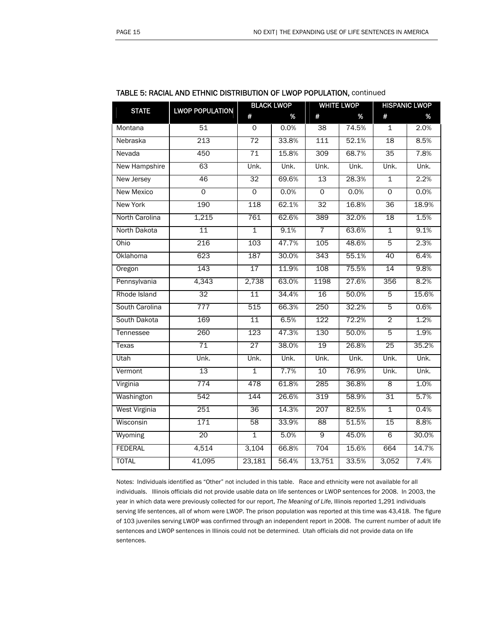| <b>STATE</b>         | <b>LWOP POPULATION</b> | <b>BLACK LWOP</b> |       | <b>WHITE LWOP</b> |       | <b>HISPANIC LWOP</b> |       |
|----------------------|------------------------|-------------------|-------|-------------------|-------|----------------------|-------|
|                      |                        | #                 | %     | #                 | %     | #                    | %     |
| Montana              | 51                     | $\mathsf{O}$      | 0.0%  | 38                | 74.5% | $\mathbf{1}$         | 2.0%  |
| Nebraska             | 213                    | $\overline{72}$   | 33.8% | 111               | 52.1% | 18                   | 8.5%  |
| Nevada               | 450                    | $\overline{71}$   | 15.8% | 309               | 68.7% | 35                   | 7.8%  |
| New Hampshire        | 63                     | Unk.              | Unk.  | Unk.              | Unk.  | Unk.                 | Unk.  |
| New Jersey           | 46                     | 32                | 69.6% | 13                | 28.3% | $\overline{1}$       | 2.2%  |
| <b>New Mexico</b>    | $\overline{0}$         | $\overline{0}$    | 0.0%  | $\overline{0}$    | 0.0%  | $\overline{0}$       | 0.0%  |
| <b>New York</b>      | 190                    | 118               | 62.1% | 32                | 16.8% | $\overline{36}$      | 18.9% |
| North Carolina       | 1,215                  | 761               | 62.6% | 389               | 32.0% | $\overline{18}$      | 1.5%  |
| North Dakota         | 11                     | 1                 | 9.1%  | 7                 | 63.6% | 1                    | 9.1%  |
| Ohio                 | 216                    | 103               | 47.7% | 105               | 48.6% | $\overline{5}$       | 2.3%  |
| Oklahoma             | 623                    | 187               | 30.0% | 343               | 55.1% | 40                   | 6.4%  |
| Oregon               | 143                    | 17                | 11.9% | 108               | 75.5% | 14                   | 9.8%  |
| Pennsylvania         | 4,343                  | 2,738             | 63.0% | 1198              | 27.6% | 356                  | 8.2%  |
| Rhode Island         | 32                     | 11                | 34.4% | 16                | 50.0% | 5                    | 15.6% |
| South Carolina       | 777                    | 515               | 66.3% | 250               | 32.2% | $\overline{5}$       | 0.6%  |
| South Dakota         | 169                    | 11                | 6.5%  | 122               | 72.2% | $\overline{2}$       | 1.2%  |
| Tennessee            | 260                    | 123               | 47.3% | 130               | 50.0% | $\overline{5}$       | 1.9%  |
| <b>Texas</b>         | $\overline{71}$        | 27                | 38.0% | 19                | 26.8% | $\overline{25}$      | 35.2% |
| Utah                 | Unk.                   | Unk.              | Unk.  | Unk.              | Unk.  | Unk.                 | Unk.  |
| Vermont              | $\overline{13}$        | $\overline{1}$    | 7.7%  | 10                | 76.9% | Unk.                 | Unk.  |
| Virginia             | 774                    | 478               | 61.8% | 285               | 36.8% | $\infty$             | 1.0%  |
| Washington           | 542                    | 144               | 26.6% | 319               | 58.9% | 31                   | 5.7%  |
| <b>West Virginia</b> | 251                    | 36                | 14.3% | 207               | 82.5% | $\overline{1}$       | 0.4%  |
| Wisconsin            | 171                    | 58                | 33.9% | $\overline{88}$   | 51.5% | 15                   | 8.8%  |
| Wyoming              | 20                     | $\overline{1}$    | 5.0%  | $\overline{9}$    | 45.0% | 6                    | 30.0% |
| <b>FEDERAL</b>       | 4,514                  | 3,104             | 66.8% | 704               | 15.6% | 664                  | 14.7% |
| <b>TOTAL</b>         | 41,095                 | 23,181            | 56.4% | 13,751            | 33.5% | 3,052                | 7.4%  |

#### TABLE 5: RACIAL AND ETHNIC DISTRIBUTION OF LWOP POPULATION, continued

Notes: Individuals identified as "Other" not included in this table. Race and ethnicity were not available for all individuals. Illinois officials did not provide usable data on life sentences or LWOP sentences for 2008. In 2003, the year in which data were previously collected for our report, *The Meaning of Life*, Illinois reported 1,291 individuals serving life sentences, all of whom were LWOP. The prison population was reported at this time was 43,418. The figure of 103 juveniles serving LWOP was confirmed through an independent report in 2008. The current number of adult life sentences and LWOP sentences in Illinois could not be determined. Utah officials did not provide data on life sentences.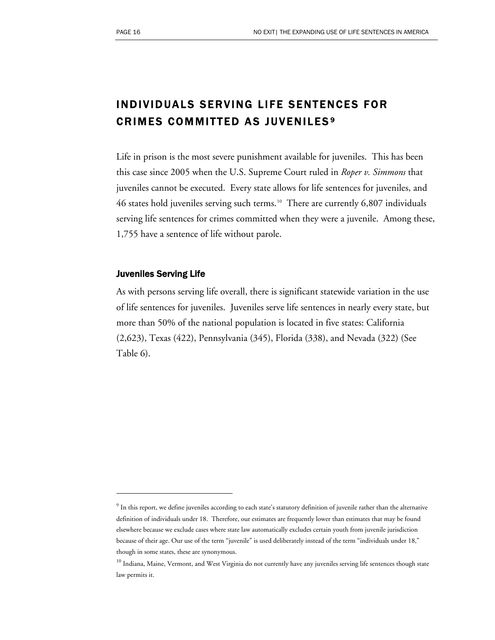# INDIVIDUALS SERVING LIFE SENTENCES FOR CRIMES COMMITTED AS JUVENILES [9](#page-17-0)

Life in prison is the most severe punishment available for juveniles. This has been this case since 2005 when the U.S. Supreme Court ruled in *Roper v. Simmons* that juveniles cannot be executed. Every state allows for life sentences for juveniles, and 46 states hold juveniles serving such terms.<sup>[10](#page-17-1)</sup> There are currently 6,807 individuals serving life sentences for crimes committed when they were a juvenile. Among these, 1,755 have a sentence of life without parole.

#### Juveniles Serving Life

 $\overline{a}$ 

As with persons serving life overall, there is significant statewide variation in the use of life sentences for juveniles. Juveniles serve life sentences in nearly every state, but more than 50% of the national population is located in five states: California (2,623), Texas (422), Pennsylvania (345), Florida (338), and Nevada (322) (See Table 6).

<span id="page-17-0"></span> $^9$  In this report, we define juveniles according to each state's statutory definition of juvenile rather than the alternative definition of individuals under 18. Therefore, our estimates are frequently lower than estimates that may be found elsewhere because we exclude cases where state law automatically excludes certain youth from juvenile jurisdiction because of their age. Our use of the term "juvenile" is used deliberately instead of the term "individuals under 18," though in some states, these are synonymous.

<span id="page-17-1"></span><sup>&</sup>lt;sup>10</sup> Indiana, Maine, Vermont, and West Virginia do not currently have any juveniles serving life sentences though state law permits it.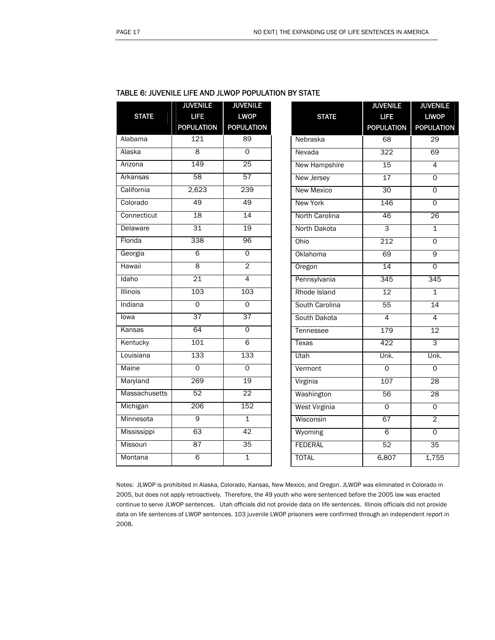|                      | <b>JUVENILE</b>   | <b>JUVENILE</b>   |                          |
|----------------------|-------------------|-------------------|--------------------------|
| <b>STATE</b>         | <b>LIFE</b>       | <b>LWOP</b>       |                          |
|                      | <b>POPULATION</b> | <b>POPULATION</b> |                          |
| Alabama              | 121               | 89                |                          |
| Alaska               | 8                 | 0                 |                          |
| Arizona              | 149               | $\overline{25}$   | I                        |
| Arkansas             | 58                | 57                |                          |
| California           | 2,623             | 239               | I                        |
| Colorado             | 49                | 49                | I                        |
| Connecticut          | 18                | 14                | I                        |
| Delaware             | 31                | 19                | I                        |
| Florida              | 338               | 96                |                          |
| Georgia              | 6                 | $\overline{0}$    | $\overline{\phantom{a}}$ |
| Hawaii               | 8                 | $\overline{2}$    | $\overline{\phantom{a}}$ |
| Idaho                | $\overline{21}$   | 4                 |                          |
| <b>Illinois</b>      | 103               | 103               |                          |
| Indiana              | Ō                 | Ō                 |                          |
| lowa                 | $\overline{37}$   | 37                | ়                        |
| Kansas               | 64                | $\overline{0}$    |                          |
| Kentucky             | 101               | 6                 |                          |
| Louisiana            | 133               | 133               |                          |
| Maine                | $\overline{0}$    | 0                 |                          |
| Maryland             | 269               | 19                |                          |
| <b>Massachusetts</b> | 52                | 22                |                          |
| Michigan             | 206               | 152               |                          |
| Minnesota            | 9                 | $\overline{1}$    |                          |
| Mississippi          | 63                | 42                |                          |
| Missouri             | 87                | 35                |                          |
| Montana              | 6                 | 1                 |                          |

| TABLE 6: JUVENILE LIFE AND JLWOP POPULATION BY STATE |  |  |  |  |  |
|------------------------------------------------------|--|--|--|--|--|
|------------------------------------------------------|--|--|--|--|--|

|                   | <b>JUVENILE</b>   | <b>JUVENILE</b>   |
|-------------------|-------------------|-------------------|
| <b>STATE</b>      | <b>LIFE</b>       | <b>LIWOP</b>      |
|                   | <b>POPULATION</b> | <b>POPULATION</b> |
| Nebraska          | $\overline{68}$   | $\overline{29}$   |
| Nevada            | 322               | 69                |
| New Hampshire     | 15                | 4                 |
| New Jersey        | 17                | $\overline{0}$    |
| <b>New Mexico</b> | 30                | $\overline{0}$    |
| <b>New York</b>   | 146               | 0                 |
| North Carolina    | 46                | 26                |
| North Dakota      | $\overline{3}$    | $\overline{1}$    |
| Ohio              | 212               | $\overline{0}$    |
| Oklahoma          | 69                | 9                 |
| Oregon            | 14                | 0                 |
| Pennsylvania      | 345               | 345               |
| Rhode Island      | 12                | 1                 |
| South Carolina    | 55                | 14                |
| South Dakota      | 4                 | 4                 |
| Tennessee         | 179               | 12                |
| Texas             | 422               | 3                 |
| Utah              | Unk.              | Unk.              |
| Vermont           | $\overline{0}$    | $\overline{0}$    |
| Virginia          | 107               | 28                |
| Washington        | 56                | 28                |
| West Virginia     | $\overline{0}$    | $\overline{0}$    |
| Wisconsin         | 67                | $\overline{2}$    |
| Wyoming           | 6                 | $\overline{0}$    |
| <b>FEDERAL</b>    | 52                | $\overline{35}$   |
| <b>TOTAL</b>      | 6,807             | 1,755             |

Notes: JLWOP is prohibited in Alaska, Colorado, Kansas, New Mexico, and Oregon. JLWOP was eliminated in Colorado in 2005, but does not apply retroactively. Therefore, the 49 youth who were sentenced before the 2005 law was enacted continue to serve JLWOP sentences. Utah officials did not provide data on life sentences. Illinois officials did not provide data on life sentences of LWOP sentences. 103 juvenile LWOP prisoners were confirmed through an independent report in 2008.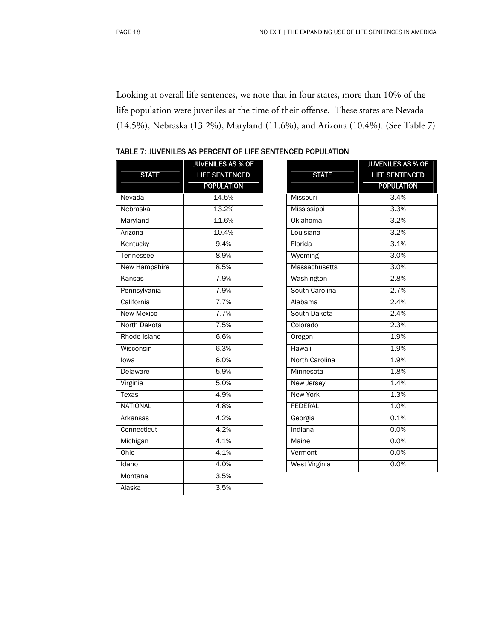Looking at overall life sentences, we note that in four states, more than 10% of the life population were juveniles at the time of their offense. These states are Nevada (14.5%), Nebraska (13.2%), Maryland (11.6%), and Arizona (10.4%). (See Table 7)

| <b>STATE</b>      | <b>JUVENILES AS % OF</b><br><b>LIFE SENTENCED</b><br><b>POPULATION</b> |                         |
|-------------------|------------------------------------------------------------------------|-------------------------|
| Nevada            | 14.5%                                                                  | Mis                     |
| Nebraska          | 13.2%                                                                  | Mis                     |
| Maryland          | 11.6%                                                                  | Okl                     |
| Arizona           | 10.4%                                                                  | Lou                     |
| Kentucky          | 9.4%                                                                   | <b>Flo</b>              |
| Tennessee         | 8.9%                                                                   | Wy                      |
| New Hampshire     | 8.5%                                                                   | Ma                      |
| Kansas            | 7.9%                                                                   | Wa                      |
| Pennsylvania      | 7.9%                                                                   | $S$ <sub>O</sub>        |
| California        | 7.7%                                                                   | Ala                     |
| <b>New Mexico</b> | 7.7%                                                                   | $\overline{\text{Sov}}$ |
| North Dakota      | 7.5%                                                                   | $\overline{\text{Col}}$ |
| Rhode Island      | 6.6%                                                                   | Ore                     |
| Wisconsin         | 6.3%                                                                   | Hay                     |
| lowa              | 6.0%                                                                   | <b>Nor</b>              |
| <b>Delaware</b>   | 5.9%                                                                   | Mir                     |
| Virginia          | 5.0%                                                                   | <b>Nev</b>              |
| <b>Texas</b>      | 4.9%                                                                   | Ney                     |
| <b>NATIONAL</b>   | 4.8%                                                                   | FEL                     |
| Arkansas          | 4.2%                                                                   | Geo                     |
| Connecticut       | 4.2%                                                                   | Ind                     |
| Michigan          | 4.1%                                                                   | Ma                      |
| Ohio              | 4.1%                                                                   | Ver                     |
| Idaho             | 4.0%                                                                   | We                      |
| Montana           | 3.5%                                                                   |                         |

Alaska 3.5%

| <b>STATE</b>      | <b>JUVENILES AS % OF</b><br><b>LIFE SENTENCED</b><br><b>POPULATION</b> |
|-------------------|------------------------------------------------------------------------|
| Missouri          | 3.4%                                                                   |
| Mississippi       | 3.3%                                                                   |
| Oklahoma          | 3.2%                                                                   |
| Louisiana         | 3.2%                                                                   |
| Florida           | 3.1%                                                                   |
| Wyoming           | 3.0%                                                                   |
| Massachusetts     | 3.0%                                                                   |
| Washington        | 2.8%                                                                   |
| South Carolina    | 2.7%                                                                   |
| Alabama           | 2.4%                                                                   |
| South Dakota      | 2.4%                                                                   |
| Colorado          | 2.3%                                                                   |
| Oregon            | 1.9%                                                                   |
| Hawaii            | 1.9%                                                                   |
| North Carolina    | 1.9%                                                                   |
| Minnesota         | 1.8%                                                                   |
| <b>New Jersey</b> | 1.4%                                                                   |
| <b>New York</b>   | 1.3%                                                                   |
| <b>FEDERAL</b>    | 1.0%                                                                   |
| Georgia           | 0.1%                                                                   |
| Indiana           | 0.0%                                                                   |
| Maine             | 0.0%                                                                   |
| Vermont           | 0.0%                                                                   |
| West Virginia     | 0.0%                                                                   |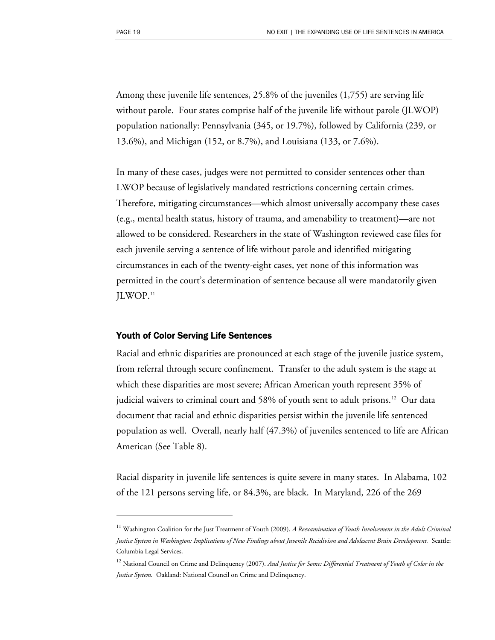$\overline{a}$ 

Among these juvenile life sentences, 25.8% of the juveniles (1,755) are serving life without parole. Four states comprise half of the juvenile life without parole (JLWOP) population nationally: Pennsylvania (345, or 19.7%), followed by California (239, or 13.6%), and Michigan (152, or 8.7%), and Louisiana (133, or 7.6%).

In many of these cases, judges were not permitted to consider sentences other than LWOP because of legislatively mandated restrictions concerning certain crimes. Therefore, mitigating circumstances—which almost universally accompany these cases (e.g., mental health status, history of trauma, and amenability to treatment)—are not allowed to be considered. Researchers in the state of Washington reviewed case files for each juvenile serving a sentence of life without parole and identified mitigating circumstances in each of the twenty-eight cases, yet none of this information was permitted in the court's determination of sentence because all were mandatorily given JLWOP.[11](#page-20-0)

#### Youth of Color Serving Life Sentences

Racial and ethnic disparities are pronounced at each stage of the juvenile justice system, from referral through secure confinement. Transfer to the adult system is the stage at which these disparities are most severe; African American youth represent 35% of judicial waivers to criminal court and 58% of youth sent to adult prisons.<sup>[1](#page-20-1)2</sup> Our data document that racial and ethnic disparities persist within the juvenile life sentenced population as well. Overall, nearly half (47.3%) of juveniles sentenced to life are African American (See Table 8).

Racial disparity in juvenile life sentences is quite severe in many states. In Alabama, 102 of the 121 persons serving life, or 84.3%, are black. In Maryland, 226 of the 269

<span id="page-20-0"></span><sup>&</sup>lt;sup>11</sup> Washington Coalition for the Just Treatment of Youth (2009). *A Reexamination of Youth Involvement in the Adult Criminal Justice System in Washington: Implications of New Findings about Juvenile Recidivism and Adolescent Brain Development.* Seattle: Columbia Legal Services.

<span id="page-20-1"></span><sup>&</sup>lt;sup>12</sup> National Council on Crime and Delinquency (2007). And Justice for Some: Differential Treatment of Youth of Color in the *Justice System.* Oakland: National Council on Crime and Delinquency.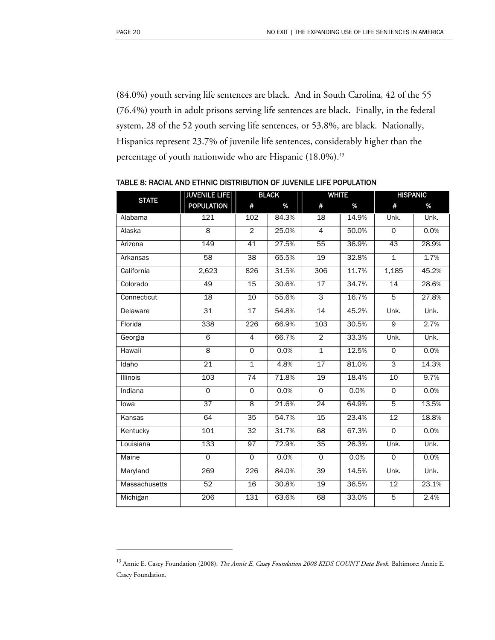$\overline{a}$ 

(84.0%) youth serving life sentences are black. And in South Carolina, 42 of the 55 (76.4%) youth in adult prisons serving life sentences are black. Finally, in the federal system, 28 of the 52 youth serving life sentences, or 53.8%, are black. Nationally, Hispanics represent 23.7% of juvenile life sentences, considerably higher than the percentage of youth nationwide who are Hispanic ([1](#page-21-0)8.0%).<sup>13</sup>

| <b>STATE</b>         | <b>JUVENILE LIFE</b> | <b>BLACK</b>        |       | <b>WHITE</b>    |       | <b>HISPANIC</b> |       |
|----------------------|----------------------|---------------------|-------|-----------------|-------|-----------------|-------|
|                      | <b>POPULATION</b>    | #                   | $\%$  | #               | $\%$  | #               | $\%$  |
| Alabama              | 121                  | 102                 | 84.3% | 18              | 14.9% | Unk.            | Unk.  |
| Alaska               | $\overline{8}$       | $\overline{2}$      | 25.0% | $\overline{4}$  | 50.0% | $\mathsf{O}$    | 0.0%  |
| Arizona              | 149                  | 41                  | 27.5% | 55              | 36.9% | 43              | 28.9% |
| Arkansas             | 58                   | $\overline{38}$     | 65.5% | $\overline{19}$ | 32.8% | $\overline{1}$  | 1.7%  |
| California           | 2,623                | 826                 | 31.5% | 306             | 11.7% | 1,185           | 45.2% |
| Colorado             | 49                   | 15                  | 30.6% | 17              | 34.7% | 14              | 28.6% |
| Connecticut          | 18                   | 10                  | 55.6% | 3               | 16.7% | $\overline{5}$  | 27.8% |
| Delaware             | 31                   | $\overline{17}$     | 54.8% | $\overline{14}$ | 45.2% | Unk.            | Unk.  |
| Florida              | 338                  | 226                 | 66.9% | 103             | 30.5% | $\overline{9}$  | 2.7%  |
| Georgia              | $\overline{6}$       | $\overline{4}$      | 66.7% | $\overline{2}$  | 33.3% | Unk.            | Unk.  |
| Hawaii               | $\overline{8}$       | $\overline{0}$      | 0.0%  | $\overline{1}$  | 12.5% | $\overline{0}$  | 0.0%  |
| Idaho                | 21                   | $\overline{1}$      | 4.8%  | 17              | 81.0% | $\overline{3}$  | 14.3% |
| Illinois             | 103                  | 74                  | 71.8% | 19              | 18.4% | 10              | 9.7%  |
| Indiana              | $\mathsf{O}$         | $\circ$             | 0.0%  | $\mathsf{O}$    | 0.0%  | $\circ$         | 0.0%  |
| lowa                 | $\overline{37}$      | $\overline{\infty}$ | 21.6% | $\overline{24}$ | 64.9% | $\overline{5}$  | 13.5% |
| Kansas               | 64                   | 35                  | 54.7% | 15              | 23.4% | 12              | 18.8% |
| Kentucky             | 101                  | 32                  | 31.7% | 68              | 67.3% | $\overline{0}$  | 0.0%  |
| Louisiana            | 133                  | 97                  | 72.9% | 35              | 26.3% | Unk.            | Unk.  |
| Maine                | $\overline{0}$       | $\overline{0}$      | 0.0%  | $\overline{0}$  | 0.0%  | $\overline{0}$  | 0.0%  |
| Maryland             | 269                  | 226                 | 84.0% | 39              | 14.5% | Unk.            | Unk.  |
| <b>Massachusetts</b> | 52                   | 16                  | 30.8% | 19              | 36.5% | 12              | 23.1% |
| Michigan             | 206                  | 131                 | 63.6% | 68              | 33.0% | $\overline{5}$  | 2.4%  |

TABLE 8: RACIAL AND ETHNIC DISTRIBUTION OF JUVENILE LIFE POPULATION

<span id="page-21-0"></span><sup>13</sup> Annie E. Casey Foundation (2008). *The Annie E. Casey Foundation 2008 KIDS COUNT Data Book.* Baltimore: Annie E. Casey Foundation.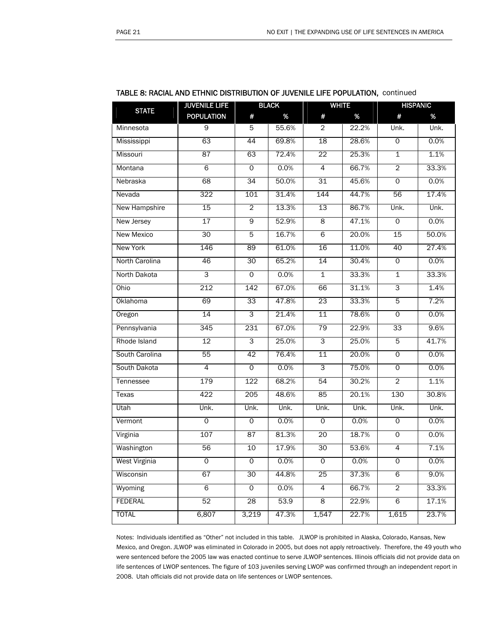|                   | <b>JUVENILE LIFE</b> |                 | <b>BLACK</b> | <b>WHITE</b>    |       |                | <b>HISPANIC</b> |
|-------------------|----------------------|-----------------|--------------|-----------------|-------|----------------|-----------------|
| <b>STATE</b>      | <b>POPULATION</b>    | #               | $\%$         | #               | $\%$  | #              | %               |
| Minnesota         | 9                    | 5               | 55.6%        | 2               | 22.2% | Unk.           | Unk.            |
| Mississippi       | 63                   | 44              | 69.8%        | 18              | 28.6% | 0              | 0.0%            |
| Missouri          | 87                   | 63              | 72.4%        | 22              | 25.3% | $\mathbf{1}$   | 1.1%            |
| Montana           | 6                    | 0               | 0.0%         | 4               | 66.7% | $\overline{2}$ | 33.3%           |
| Nebraska          | 68                   | 34              | 50.0%        | 31              | 45.6% | $\Omega$       | 0.0%            |
| Nevada            | $\overline{322}$     | 101             | 31.4%        | 144             | 44.7% | 56             | 17.4%           |
| New Hampshire     | 15                   | $\overline{2}$  | 13.3%        | 13              | 86.7% | Unk.           | Unk.            |
| New Jersey        | $\overline{17}$      | 9               | 52.9%        | 8               | 47.1% | $\Omega$       | 0.0%            |
| <b>New Mexico</b> | $\overline{30}$      | 5               | 16.7%        | $\overline{6}$  | 20.0% | 15             | 50.0%           |
| New York          | 146                  | 89              | 61.0%        | 16              | 11.0% | 40             | 27.4%           |
| North Carolina    | 46                   | 30              | 65.2%        | 14              | 30.4% | $\mathsf{O}$   | 0.0%            |
| North Dakota      | 3                    | O               | 0.0%         | $\mathbf{1}$    | 33.3% | $\mathbf{1}$   | 33.3%           |
| Ohio              | $\overline{212}$     | 142             | 67.0%        | 66              | 31.1% | 3              | 1.4%            |
| Oklahoma          | 69                   | 33              | 47.8%        | $\overline{23}$ | 33.3% | 5              | 7.2%            |
| Oregon            | $\overline{14}$      | 3               | 21.4%        | $\overline{11}$ | 78.6% | $\mathsf{O}$   | 0.0%            |
| Pennsylvania      | 345                  | 231             | 67.0%        | 79              | 22.9% | 33             | 9.6%            |
| Rhode Island      | $\overline{12}$      | 3               | 25.0%        | 3               | 25.0% | 5              | 41.7%           |
| South Carolina    | 55                   | 42              | 76.4%        | 11              | 20.0% | $\mathsf{O}$   | 0.0%            |
| South Dakota      | $\overline{4}$       | 0               | 0.0%         | 3               | 75.0% | $\mathsf{O}$   | 0.0%            |
| Tennessee         | 179                  | 122             | 68.2%        | 54              | 30.2% | $\overline{2}$ | 1.1%            |
| Texas             | 422                  | 205             | 48.6%        | 85              | 20.1% | 130            | 30.8%           |
| Utah              | Unk.                 | Unk.            | Unk.         | Unk.            | Unk.  | Unk.           | Unk.            |
| Vermont           | $\overline{0}$       | 0               | 0.0%         | $\mathbf 0$     | 0.0%  | $\circ$        | 0.0%            |
| Virginia          | 107                  | 87              | 81.3%        | 20              | 18.7% | 0              | 0.0%            |
| Washington        | 56                   | 10              | 17.9%        | 30              | 53.6% | $\overline{4}$ | 7.1%            |
| West Virginia     | 0                    | 0               | 0.0%         | 0               | 0.0%  | 0              | 0.0%            |
| Wisconsin         | 67                   | 30              | 44.8%        | $\overline{25}$ | 37.3% | $\overline{6}$ | 9.0%            |
| Wyoming           | 6                    | 0               | 0.0%         | $\overline{4}$  | 66.7% | $\overline{2}$ | 33.3%           |
| <b>FEDERAL</b>    | 52                   | $\overline{28}$ | 53.9         | 8               | 22.9% | $\overline{6}$ | 17.1%           |
| <b>TOTAL</b>      | 6,807                | 3,219           | 47.3%        | 1,547           | 22.7% | 1,615          | 23.7%           |

#### TABLE 8: RACIAL AND ETHNIC DISTRIBUTION OF JUVENILE LIFE POPULATION, continued

Notes: Individuals identified as "Other" not included in this table. JLWOP is prohibited in Alaska, Colorado, Kansas, New Mexico, and Oregon. JLWOP was eliminated in Colorado in 2005, but does not apply retroactively. Therefore, the 49 youth who were sentenced before the 2005 law was enacted continue to serve JLWOP sentences. Illinois officials did not provide data on life sentences of LWOP sentences. The figure of 103 juveniles serving LWOP was confirmed through an independent report in 2008. Utah officials did not provide data on life sentences or LWOP sentences.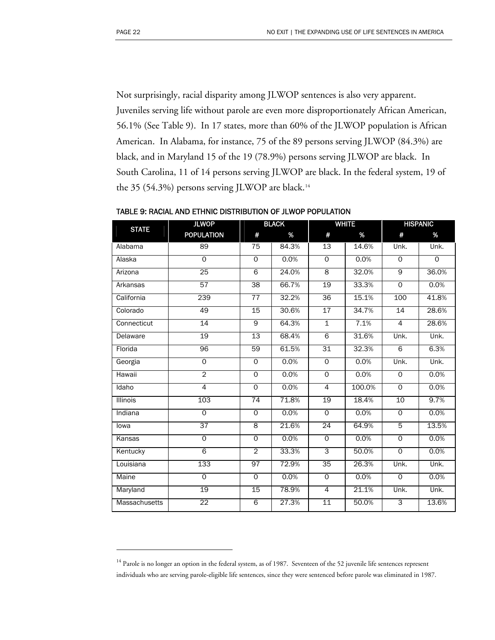$\overline{a}$ 

Not surprisingly, racial disparity among JLWOP sentences is also very apparent. Juveniles serving life without parole are even more disproportionately African American, 56.1% (See Table 9). In 17 states, more than 60% of the JLWOP population is African American. In Alabama, for instance, 75 of the 89 persons serving JLWOP (84.3%) are black, and in Maryland 15 of the 19 (78.9%) persons serving JLWOP are black. In South Carolina, 11 of 14 persons serving JLWOP are black. In the federal system, 19 of the 35 (54.3%) persons serving JLWOP are black.<sup>[14](#page-23-0)</sup>

| <b>STATE</b>         | <b>JLWOP</b>      | <b>BLACK</b>    |       | <b>WHITE</b>    |        | <b>HISPANIC</b> |          |
|----------------------|-------------------|-----------------|-------|-----------------|--------|-----------------|----------|
|                      | <b>POPULATION</b> | #               | %     | #               | $\%$   | #               | %        |
| Alabama              | 89                | 75              | 84.3% | 13              | 14.6%  | Unk.            | Unk.     |
| Alaska               | $\overline{0}$    | $\mathsf{O}$    | 0.0%  | $\Omega$        | 0.0%   | $\Omega$        | $\Omega$ |
| Arizona              | 25                | $\overline{6}$  | 24.0% | $\overline{8}$  | 32.0%  | $\overline{9}$  | 36.0%    |
| Arkansas             | $\overline{57}$   | $\overline{38}$ | 66.7% | 19              | 33.3%  | $\overline{0}$  | 0.0%     |
| California           | 239               | 77              | 32.2% | 36              | 15.1%  | 100             | 41.8%    |
| Colorado             | 49                | 15              | 30.6% | 17              | 34.7%  | 14              | 28.6%    |
| Connecticut          | 14                | 9               | 64.3% | $\overline{1}$  | 7.1%   | $\overline{4}$  | 28.6%    |
| Delaware             | 19                | $\overline{13}$ | 68.4% | 6               | 31.6%  | Unk.            | Unk.     |
| Florida              | 96                | 59              | 61.5% | 31              | 32.3%  | $\overline{6}$  | 6.3%     |
| Georgia              | $\overline{0}$    | $\overline{0}$  | 0.0%  | $\overline{0}$  | 0.0%   | Unk.            | Unk.     |
| Hawaii               | $\overline{2}$    | $\overline{0}$  | 0.0%  | $\overline{0}$  | 0.0%   | $\overline{0}$  | 0.0%     |
| Idaho                | $\overline{4}$    | $\overline{0}$  | 0.0%  | $\overline{4}$  | 100.0% | $\overline{0}$  | 0.0%     |
| Illinois             | 103               | 74              | 71.8% | 19              | 18.4%  | 10              | 9.7%     |
| Indiana              | $\overline{0}$    | $\overline{0}$  | 0.0%  | $\Omega$        | 0.0%   | $\Omega$        | 0.0%     |
| lowa                 | $\overline{37}$   | $\overline{8}$  | 21.6% | $\overline{24}$ | 64.9%  | 5               | 13.5%    |
| Kansas               | $\overline{0}$    | $\overline{0}$  | 0.0%  | $\overline{0}$  | 0.0%   | $\overline{0}$  | 0.0%     |
| Kentucky             | 6                 | $\overline{2}$  | 33.3% | 3               | 50.0%  | $\overline{0}$  | 0.0%     |
| Louisiana            | 133               | 97              | 72.9% | 35              | 26.3%  | Unk.            | Unk.     |
| Maine                | $\overline{0}$    | $\overline{0}$  | 0.0%  | $\Omega$        | 0.0%   | $\overline{0}$  | 0.0%     |
| Maryland             | 19                | 15              | 78.9% | $\overline{4}$  | 21.1%  | Unk.            | Unk.     |
| <b>Massachusetts</b> | $\overline{22}$   | $\overline{6}$  | 27.3% | $\overline{11}$ | 50.0%  | 3               | 13.6%    |

TABLE 9: RACIAL AND ETHNIC DISTRIBUTION OF JLWOP POPULATION

<span id="page-23-0"></span><sup>&</sup>lt;sup>14</sup> Parole is no longer an option in the federal system, as of 1987. Seventeen of the 52 juvenile life sentences represent individuals who are serving parole-eligible life sentences, since they were sentenced before parole was eliminated in 1987.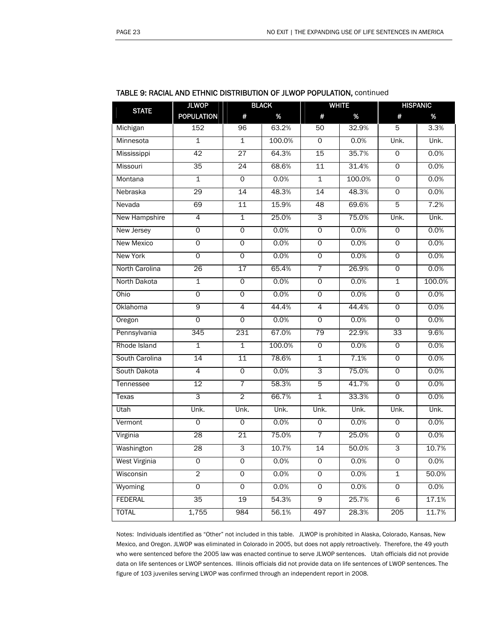| <b>BLACK</b><br><b>WHITE</b><br><b>HISPANIC</b><br><b>STATE</b><br><b>POPULATION</b><br>#<br>%<br>#<br>$\%$<br>#<br>%<br>63.2%<br>32.9%<br>3.3%<br>Michigan<br>152<br>96<br>50<br>5<br>Minnesota<br>$\overline{1}$<br>$\overline{1}$<br>100.0%<br>$\Omega$<br>0.0%<br>Unk.<br>Unk.<br>64.3%<br>$\overline{42}$<br>$\overline{27}$<br>15<br>35.7%<br>$\overline{0}$<br>0.0%<br>Mississippi<br>35<br>24<br>68.6%<br>11<br>31.4%<br>$\overline{0}$<br>0.0%<br>0.0%<br>100.0%<br>0.0%<br>$\overline{1}$<br>$\overline{0}$<br>$\overline{1}$<br>$\mathsf{O}$<br>48.3%<br>48.3%<br>0.0%<br>Nebraska<br>29<br>14<br>14<br>$\overline{0}$<br>69<br>11<br>15.9%<br>$\overline{5}$<br>7.2%<br>48<br>69.6%<br>$\overline{4}$<br>$\overline{1}$<br>25.0%<br>З<br>75.0%<br>Unk.<br>Unk.<br>0.0%<br>0.0%<br>0<br>$\overline{0}$<br>$\overline{0}$<br>0.0%<br>$\overline{0}$<br>$\overline{0}$<br>$\overline{0}$<br>0.0%<br>$\overline{0}$<br>0.0%<br>$\overline{0}$<br>0.0%<br>$\overline{0}$<br>0.0%<br>$\overline{0}$<br>$\overline{0}$<br>0.0%<br>$\overline{0}$<br>0.0%<br>26<br>65.4%<br>$\overline{7}$<br>26.9%<br>0.0%<br>17<br>$\mathsf{O}$<br>$\overline{1}$<br>$\overline{1}$<br>$\overline{0}$<br>0.0%<br>$\overline{0}$<br>0.0%<br>100.0%<br>$\overline{0}$<br>$\overline{0}$<br>0.0%<br>$\overline{0}$<br>0.0%<br>0.0%<br>$\mathsf{O}$<br>9<br>44.4%<br>44.4%<br>0.0%<br>4<br>$\overline{4}$<br>$\mathsf{O}\xspace$<br>0.0%<br>0.0%<br>0<br>$\mathbf 0$<br>$\circ$<br>$\circ$<br>0.0%<br>345<br>231<br>67.0%<br>79<br>22.9%<br>9.6%<br>33<br>100.0%<br>$\overline{1}$<br>$\overline{1}$<br>$\overline{0}$<br>0.0%<br>$\overline{0}$<br>0.0%<br>14<br>78.6%<br>7.1%<br>$\overline{11}$<br>$\overline{1}$<br>$\overline{0}$<br>0.0%<br>3<br>$\overline{4}$<br>$\overline{0}$<br>0.0%<br>75.0%<br>$\overline{0}$<br>0.0%<br>12<br>58.3%<br>41.7%<br>0.0%<br>$\overline{7}$<br>5<br>$\mathsf{O}$<br>3<br>$\overline{2}$<br>66.7%<br>$\overline{1}$<br>33.3%<br>$\overline{0}$<br>0.0%<br>Unk.<br>Unk.<br>Unk.<br>Unk.<br>Unk.<br>Unk.<br>Unk.<br>0.0%<br>$\overline{0}$<br>0<br>0<br>0.0%<br>$\mathsf{O}$<br>0.0%<br>28<br>75.0%<br>21<br>$\overline{7}$<br>25.0%<br>$\overline{0}$<br>0.0%<br>$\overline{3}$<br>10.7%<br>3<br>28<br>14<br>50.0%<br>10.7%<br>0<br>0<br>0.0%<br>0<br>0.0%<br>0<br>0.0%<br>2<br>0.0%<br>0<br>$\overline{0}$<br>0.0%<br>$\overline{1}$<br>50.0%<br>0.0%<br>0.0%<br>0.0%<br>$\overline{0}$<br>$\overline{0}$<br>$\overline{0}$<br>0<br>54.3%<br>17.1%<br>35<br>19<br>9<br>25.7%<br>6<br>1,755<br>984<br>56.1%<br>497<br>28.3%<br>205<br>11.7% | <b>IABLE 9: RACIAL AND ETHING DISTRIBUTION OF JEWOP POPULATION,</b> CONTINUED |              |  |  |  |  |  |  |  |
|----------------------------------------------------------------------------------------------------------------------------------------------------------------------------------------------------------------------------------------------------------------------------------------------------------------------------------------------------------------------------------------------------------------------------------------------------------------------------------------------------------------------------------------------------------------------------------------------------------------------------------------------------------------------------------------------------------------------------------------------------------------------------------------------------------------------------------------------------------------------------------------------------------------------------------------------------------------------------------------------------------------------------------------------------------------------------------------------------------------------------------------------------------------------------------------------------------------------------------------------------------------------------------------------------------------------------------------------------------------------------------------------------------------------------------------------------------------------------------------------------------------------------------------------------------------------------------------------------------------------------------------------------------------------------------------------------------------------------------------------------------------------------------------------------------------------------------------------------------------------------------------------------------------------------------------------------------------------------------------------------------------------------------------------------------------------------------------------------------------------------------------------------------------------------------------------------------------------------------------------------------------------------------------------------------------------------------------------------------------------------------------------------------------------------------------------------------------------------------------------------------------------------------------------------------------------|-------------------------------------------------------------------------------|--------------|--|--|--|--|--|--|--|
|                                                                                                                                                                                                                                                                                                                                                                                                                                                                                                                                                                                                                                                                                                                                                                                                                                                                                                                                                                                                                                                                                                                                                                                                                                                                                                                                                                                                                                                                                                                                                                                                                                                                                                                                                                                                                                                                                                                                                                                                                                                                                                                                                                                                                                                                                                                                                                                                                                                                                                                                                                      |                                                                               | <b>JLWOP</b> |  |  |  |  |  |  |  |
|                                                                                                                                                                                                                                                                                                                                                                                                                                                                                                                                                                                                                                                                                                                                                                                                                                                                                                                                                                                                                                                                                                                                                                                                                                                                                                                                                                                                                                                                                                                                                                                                                                                                                                                                                                                                                                                                                                                                                                                                                                                                                                                                                                                                                                                                                                                                                                                                                                                                                                                                                                      |                                                                               |              |  |  |  |  |  |  |  |
|                                                                                                                                                                                                                                                                                                                                                                                                                                                                                                                                                                                                                                                                                                                                                                                                                                                                                                                                                                                                                                                                                                                                                                                                                                                                                                                                                                                                                                                                                                                                                                                                                                                                                                                                                                                                                                                                                                                                                                                                                                                                                                                                                                                                                                                                                                                                                                                                                                                                                                                                                                      |                                                                               |              |  |  |  |  |  |  |  |
|                                                                                                                                                                                                                                                                                                                                                                                                                                                                                                                                                                                                                                                                                                                                                                                                                                                                                                                                                                                                                                                                                                                                                                                                                                                                                                                                                                                                                                                                                                                                                                                                                                                                                                                                                                                                                                                                                                                                                                                                                                                                                                                                                                                                                                                                                                                                                                                                                                                                                                                                                                      |                                                                               |              |  |  |  |  |  |  |  |
|                                                                                                                                                                                                                                                                                                                                                                                                                                                                                                                                                                                                                                                                                                                                                                                                                                                                                                                                                                                                                                                                                                                                                                                                                                                                                                                                                                                                                                                                                                                                                                                                                                                                                                                                                                                                                                                                                                                                                                                                                                                                                                                                                                                                                                                                                                                                                                                                                                                                                                                                                                      |                                                                               |              |  |  |  |  |  |  |  |
|                                                                                                                                                                                                                                                                                                                                                                                                                                                                                                                                                                                                                                                                                                                                                                                                                                                                                                                                                                                                                                                                                                                                                                                                                                                                                                                                                                                                                                                                                                                                                                                                                                                                                                                                                                                                                                                                                                                                                                                                                                                                                                                                                                                                                                                                                                                                                                                                                                                                                                                                                                      | Missouri                                                                      |              |  |  |  |  |  |  |  |
|                                                                                                                                                                                                                                                                                                                                                                                                                                                                                                                                                                                                                                                                                                                                                                                                                                                                                                                                                                                                                                                                                                                                                                                                                                                                                                                                                                                                                                                                                                                                                                                                                                                                                                                                                                                                                                                                                                                                                                                                                                                                                                                                                                                                                                                                                                                                                                                                                                                                                                                                                                      | Montana                                                                       |              |  |  |  |  |  |  |  |
|                                                                                                                                                                                                                                                                                                                                                                                                                                                                                                                                                                                                                                                                                                                                                                                                                                                                                                                                                                                                                                                                                                                                                                                                                                                                                                                                                                                                                                                                                                                                                                                                                                                                                                                                                                                                                                                                                                                                                                                                                                                                                                                                                                                                                                                                                                                                                                                                                                                                                                                                                                      |                                                                               |              |  |  |  |  |  |  |  |
|                                                                                                                                                                                                                                                                                                                                                                                                                                                                                                                                                                                                                                                                                                                                                                                                                                                                                                                                                                                                                                                                                                                                                                                                                                                                                                                                                                                                                                                                                                                                                                                                                                                                                                                                                                                                                                                                                                                                                                                                                                                                                                                                                                                                                                                                                                                                                                                                                                                                                                                                                                      | Nevada                                                                        |              |  |  |  |  |  |  |  |
|                                                                                                                                                                                                                                                                                                                                                                                                                                                                                                                                                                                                                                                                                                                                                                                                                                                                                                                                                                                                                                                                                                                                                                                                                                                                                                                                                                                                                                                                                                                                                                                                                                                                                                                                                                                                                                                                                                                                                                                                                                                                                                                                                                                                                                                                                                                                                                                                                                                                                                                                                                      | New Hampshire                                                                 |              |  |  |  |  |  |  |  |
|                                                                                                                                                                                                                                                                                                                                                                                                                                                                                                                                                                                                                                                                                                                                                                                                                                                                                                                                                                                                                                                                                                                                                                                                                                                                                                                                                                                                                                                                                                                                                                                                                                                                                                                                                                                                                                                                                                                                                                                                                                                                                                                                                                                                                                                                                                                                                                                                                                                                                                                                                                      | New Jersey                                                                    |              |  |  |  |  |  |  |  |
|                                                                                                                                                                                                                                                                                                                                                                                                                                                                                                                                                                                                                                                                                                                                                                                                                                                                                                                                                                                                                                                                                                                                                                                                                                                                                                                                                                                                                                                                                                                                                                                                                                                                                                                                                                                                                                                                                                                                                                                                                                                                                                                                                                                                                                                                                                                                                                                                                                                                                                                                                                      | <b>New Mexico</b>                                                             |              |  |  |  |  |  |  |  |
|                                                                                                                                                                                                                                                                                                                                                                                                                                                                                                                                                                                                                                                                                                                                                                                                                                                                                                                                                                                                                                                                                                                                                                                                                                                                                                                                                                                                                                                                                                                                                                                                                                                                                                                                                                                                                                                                                                                                                                                                                                                                                                                                                                                                                                                                                                                                                                                                                                                                                                                                                                      | <b>New York</b>                                                               |              |  |  |  |  |  |  |  |
|                                                                                                                                                                                                                                                                                                                                                                                                                                                                                                                                                                                                                                                                                                                                                                                                                                                                                                                                                                                                                                                                                                                                                                                                                                                                                                                                                                                                                                                                                                                                                                                                                                                                                                                                                                                                                                                                                                                                                                                                                                                                                                                                                                                                                                                                                                                                                                                                                                                                                                                                                                      | North Carolina                                                                |              |  |  |  |  |  |  |  |
|                                                                                                                                                                                                                                                                                                                                                                                                                                                                                                                                                                                                                                                                                                                                                                                                                                                                                                                                                                                                                                                                                                                                                                                                                                                                                                                                                                                                                                                                                                                                                                                                                                                                                                                                                                                                                                                                                                                                                                                                                                                                                                                                                                                                                                                                                                                                                                                                                                                                                                                                                                      | North Dakota                                                                  |              |  |  |  |  |  |  |  |
|                                                                                                                                                                                                                                                                                                                                                                                                                                                                                                                                                                                                                                                                                                                                                                                                                                                                                                                                                                                                                                                                                                                                                                                                                                                                                                                                                                                                                                                                                                                                                                                                                                                                                                                                                                                                                                                                                                                                                                                                                                                                                                                                                                                                                                                                                                                                                                                                                                                                                                                                                                      | Ohio                                                                          |              |  |  |  |  |  |  |  |
|                                                                                                                                                                                                                                                                                                                                                                                                                                                                                                                                                                                                                                                                                                                                                                                                                                                                                                                                                                                                                                                                                                                                                                                                                                                                                                                                                                                                                                                                                                                                                                                                                                                                                                                                                                                                                                                                                                                                                                                                                                                                                                                                                                                                                                                                                                                                                                                                                                                                                                                                                                      | Oklahoma                                                                      |              |  |  |  |  |  |  |  |
|                                                                                                                                                                                                                                                                                                                                                                                                                                                                                                                                                                                                                                                                                                                                                                                                                                                                                                                                                                                                                                                                                                                                                                                                                                                                                                                                                                                                                                                                                                                                                                                                                                                                                                                                                                                                                                                                                                                                                                                                                                                                                                                                                                                                                                                                                                                                                                                                                                                                                                                                                                      | Oregon                                                                        |              |  |  |  |  |  |  |  |
|                                                                                                                                                                                                                                                                                                                                                                                                                                                                                                                                                                                                                                                                                                                                                                                                                                                                                                                                                                                                                                                                                                                                                                                                                                                                                                                                                                                                                                                                                                                                                                                                                                                                                                                                                                                                                                                                                                                                                                                                                                                                                                                                                                                                                                                                                                                                                                                                                                                                                                                                                                      | Pennsylvania                                                                  |              |  |  |  |  |  |  |  |
|                                                                                                                                                                                                                                                                                                                                                                                                                                                                                                                                                                                                                                                                                                                                                                                                                                                                                                                                                                                                                                                                                                                                                                                                                                                                                                                                                                                                                                                                                                                                                                                                                                                                                                                                                                                                                                                                                                                                                                                                                                                                                                                                                                                                                                                                                                                                                                                                                                                                                                                                                                      | Rhode Island                                                                  |              |  |  |  |  |  |  |  |
|                                                                                                                                                                                                                                                                                                                                                                                                                                                                                                                                                                                                                                                                                                                                                                                                                                                                                                                                                                                                                                                                                                                                                                                                                                                                                                                                                                                                                                                                                                                                                                                                                                                                                                                                                                                                                                                                                                                                                                                                                                                                                                                                                                                                                                                                                                                                                                                                                                                                                                                                                                      | South Carolina                                                                |              |  |  |  |  |  |  |  |
|                                                                                                                                                                                                                                                                                                                                                                                                                                                                                                                                                                                                                                                                                                                                                                                                                                                                                                                                                                                                                                                                                                                                                                                                                                                                                                                                                                                                                                                                                                                                                                                                                                                                                                                                                                                                                                                                                                                                                                                                                                                                                                                                                                                                                                                                                                                                                                                                                                                                                                                                                                      | South Dakota                                                                  |              |  |  |  |  |  |  |  |
|                                                                                                                                                                                                                                                                                                                                                                                                                                                                                                                                                                                                                                                                                                                                                                                                                                                                                                                                                                                                                                                                                                                                                                                                                                                                                                                                                                                                                                                                                                                                                                                                                                                                                                                                                                                                                                                                                                                                                                                                                                                                                                                                                                                                                                                                                                                                                                                                                                                                                                                                                                      | Tennessee                                                                     |              |  |  |  |  |  |  |  |
|                                                                                                                                                                                                                                                                                                                                                                                                                                                                                                                                                                                                                                                                                                                                                                                                                                                                                                                                                                                                                                                                                                                                                                                                                                                                                                                                                                                                                                                                                                                                                                                                                                                                                                                                                                                                                                                                                                                                                                                                                                                                                                                                                                                                                                                                                                                                                                                                                                                                                                                                                                      | Texas                                                                         |              |  |  |  |  |  |  |  |
|                                                                                                                                                                                                                                                                                                                                                                                                                                                                                                                                                                                                                                                                                                                                                                                                                                                                                                                                                                                                                                                                                                                                                                                                                                                                                                                                                                                                                                                                                                                                                                                                                                                                                                                                                                                                                                                                                                                                                                                                                                                                                                                                                                                                                                                                                                                                                                                                                                                                                                                                                                      | Utah                                                                          |              |  |  |  |  |  |  |  |
|                                                                                                                                                                                                                                                                                                                                                                                                                                                                                                                                                                                                                                                                                                                                                                                                                                                                                                                                                                                                                                                                                                                                                                                                                                                                                                                                                                                                                                                                                                                                                                                                                                                                                                                                                                                                                                                                                                                                                                                                                                                                                                                                                                                                                                                                                                                                                                                                                                                                                                                                                                      | Vermont                                                                       |              |  |  |  |  |  |  |  |
|                                                                                                                                                                                                                                                                                                                                                                                                                                                                                                                                                                                                                                                                                                                                                                                                                                                                                                                                                                                                                                                                                                                                                                                                                                                                                                                                                                                                                                                                                                                                                                                                                                                                                                                                                                                                                                                                                                                                                                                                                                                                                                                                                                                                                                                                                                                                                                                                                                                                                                                                                                      | Virginia                                                                      |              |  |  |  |  |  |  |  |
|                                                                                                                                                                                                                                                                                                                                                                                                                                                                                                                                                                                                                                                                                                                                                                                                                                                                                                                                                                                                                                                                                                                                                                                                                                                                                                                                                                                                                                                                                                                                                                                                                                                                                                                                                                                                                                                                                                                                                                                                                                                                                                                                                                                                                                                                                                                                                                                                                                                                                                                                                                      | Washington                                                                    |              |  |  |  |  |  |  |  |
|                                                                                                                                                                                                                                                                                                                                                                                                                                                                                                                                                                                                                                                                                                                                                                                                                                                                                                                                                                                                                                                                                                                                                                                                                                                                                                                                                                                                                                                                                                                                                                                                                                                                                                                                                                                                                                                                                                                                                                                                                                                                                                                                                                                                                                                                                                                                                                                                                                                                                                                                                                      | <b>West Virginia</b>                                                          |              |  |  |  |  |  |  |  |
|                                                                                                                                                                                                                                                                                                                                                                                                                                                                                                                                                                                                                                                                                                                                                                                                                                                                                                                                                                                                                                                                                                                                                                                                                                                                                                                                                                                                                                                                                                                                                                                                                                                                                                                                                                                                                                                                                                                                                                                                                                                                                                                                                                                                                                                                                                                                                                                                                                                                                                                                                                      | Wisconsin                                                                     |              |  |  |  |  |  |  |  |
|                                                                                                                                                                                                                                                                                                                                                                                                                                                                                                                                                                                                                                                                                                                                                                                                                                                                                                                                                                                                                                                                                                                                                                                                                                                                                                                                                                                                                                                                                                                                                                                                                                                                                                                                                                                                                                                                                                                                                                                                                                                                                                                                                                                                                                                                                                                                                                                                                                                                                                                                                                      | <b>Wyoming</b>                                                                |              |  |  |  |  |  |  |  |
|                                                                                                                                                                                                                                                                                                                                                                                                                                                                                                                                                                                                                                                                                                                                                                                                                                                                                                                                                                                                                                                                                                                                                                                                                                                                                                                                                                                                                                                                                                                                                                                                                                                                                                                                                                                                                                                                                                                                                                                                                                                                                                                                                                                                                                                                                                                                                                                                                                                                                                                                                                      | <b>FEDERAL</b>                                                                |              |  |  |  |  |  |  |  |
|                                                                                                                                                                                                                                                                                                                                                                                                                                                                                                                                                                                                                                                                                                                                                                                                                                                                                                                                                                                                                                                                                                                                                                                                                                                                                                                                                                                                                                                                                                                                                                                                                                                                                                                                                                                                                                                                                                                                                                                                                                                                                                                                                                                                                                                                                                                                                                                                                                                                                                                                                                      | <b>TOTAL</b>                                                                  |              |  |  |  |  |  |  |  |

TABLE 9: RACIAL AND ETHNIC DISTRIBUTION OF JLWOP POPULATION, continued

Notes: Individuals identified as "Other" not included in this table. JLWOP is prohibited in Alaska, Colorado, Kansas, New Mexico, and Oregon. JLWOP was eliminated in Colorado in 2005, but does not apply retroactively. Therefore, the 49 youth who were sentenced before the 2005 law was enacted continue to serve JLWOP sentences. Utah officials did not provide data on life sentences or LWOP sentences. Illinois officials did not provide data on life sentences of LWOP sentences. The figure of 103 juveniles serving LWOP was confirmed through an independent report in 2008.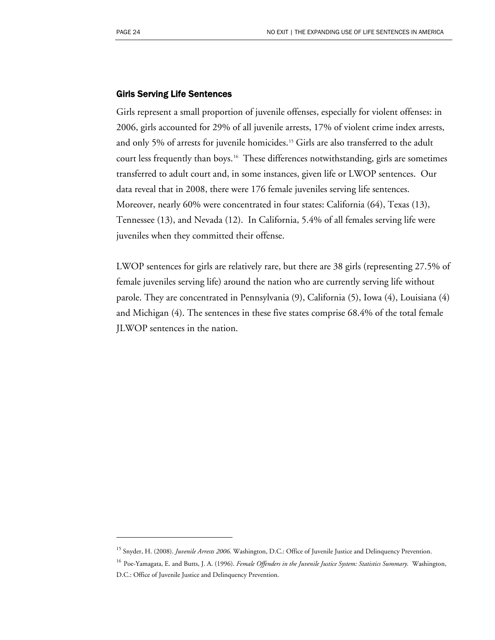$\overline{a}$ 

#### Girls Serving Life Sentences

Girls represent a small proportion of juvenile offenses, especially for violent offenses: in 2006, girls accounted for 29% of all juvenile arrests, 17% of violent crime index arrests, and only 5% of arrests for juvenile homicides.<sup>[1](#page-25-0)5</sup> Girls are also transferred to the adult court less frequently than boys.[16](#page-25-1) These differences notwithstanding, girls are sometimes transferred to adult court and, in some instances, given life or LWOP sentences. Our data reveal that in 2008, there were 176 female juveniles serving life sentences. Moreover, nearly 60% were concentrated in four states: California (64), Texas (13), Tennessee (13), and Nevada (12). In California, 5.4% of all females serving life were juveniles when they committed their offense.

LWOP sentences for girls are relatively rare, but there are 38 girls (representing 27.5% of female juveniles serving life) around the nation who are currently serving life without parole. They are concentrated in Pennsylvania (9), California (5), Iowa (4), Louisiana (4) and Michigan (4). The sentences in these five states comprise 68.4% of the total female JLWOP sentences in the nation.

<span id="page-25-0"></span><sup>&</sup>lt;sup>15</sup> Snyder, H. (2008). *Juvenile Arrests 2006*. Washington, D.C.: Office of Juvenile Justice and Delinquency Prevention.

<span id="page-25-1"></span><sup>&</sup>lt;sup>16</sup> Poe-Yamagata, E. and Butts, J. A. (1996). *Female Offenders in the Juvenile Justice System: Statistics Summary*. Washington, D.C.: Office of Juvenile Justice and Delinquency Prevention.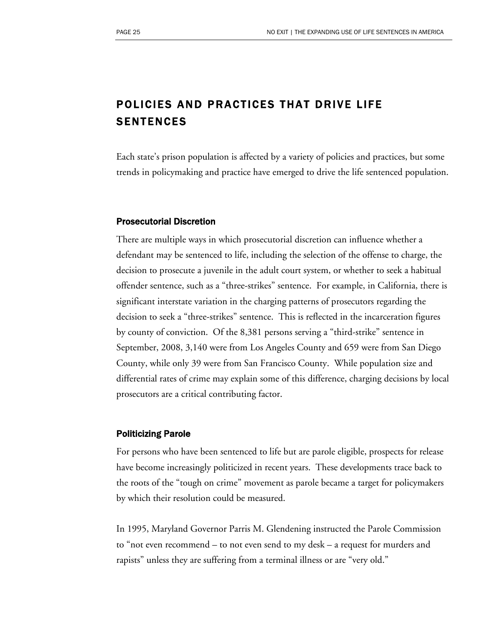# POLICIES AND PRACTICES THAT DRIVE LIFE SENTENCES

Each state's prison population is affected by a variety of policies and practices, but some trends in policymaking and practice have emerged to drive the life sentenced population.

#### Prosecutorial Discretion

There are multiple ways in which prosecutorial discretion can influence whether a defendant may be sentenced to life, including the selection of the offense to charge, the decision to prosecute a juvenile in the adult court system, or whether to seek a habitual offender sentence, such as a "three-strikes" sentence. For example, in California, there is significant interstate variation in the charging patterns of prosecutors regarding the decision to seek a "three-strikes" sentence. This is reflected in the incarceration figures by county of conviction. Of the 8,381 persons serving a "third-strike" sentence in September, 2008, 3,140 were from Los Angeles County and 659 were from San Diego County, while only 39 were from San Francisco County. While population size and differential rates of crime may explain some of this difference, charging decisions by local prosecutors are a critical contributing factor.

#### Politicizing Parole

For persons who have been sentenced to life but are parole eligible, prospects for release have become increasingly politicized in recent years. These developments trace back to the roots of the "tough on crime" movement as parole became a target for policymakers by which their resolution could be measured.

In 1995, Maryland Governor Parris M. Glendening instructed the Parole Commission to "not even recommend – to not even send to my desk – a request for murders and rapists" unless they are suffering from a terminal illness or are "very old."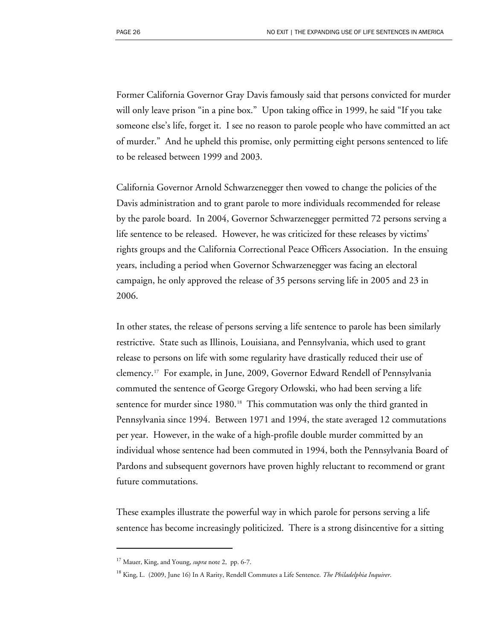Former California Governor Gray Davis famously said that persons convicted for murder will only leave prison "in a pine box." Upon taking office in 1999, he said "If you take someone else's life, forget it. I see no reason to parole people who have committed an act of murder." And he upheld this promise, only permitting eight persons sentenced to life to be released between 1999 and 2003.

California Governor Arnold Schwarzenegger then vowed to change the policies of the Davis administration and to grant parole to more individuals recommended for release by the parole board. In 2004, Governor Schwarzenegger permitted 72 persons serving a life sentence to be released. However, he was criticized for these releases by victims' rights groups and the California Correctional Peace Officers Association. In the ensuing years, including a period when Governor Schwarzenegger was facing an electoral campaign, he only approved the release of 35 persons serving life in 2005 and 23 in 2006.

In other states, the release of persons serving a life sentence to parole has been similarly restrictive. State such as Illinois, Louisiana, and Pennsylvania, which used to grant release to persons on life with some regularity have drastically reduced their use of clemency.[17](#page-27-0) For example, in June, 2009, Governor Edward Rendell of Pennsylvania commuted the sentence of George Gregory Orlowski, who had been serving a life sentence for murder since [1](#page-27-1)980.<sup>18</sup> This commutation was only the third granted in Pennsylvania since 1994. Between 1971 and 1994, the state averaged 12 commutations per year. However, in the wake of a high-profile double murder committed by an individual whose sentence had been commuted in 1994, both the Pennsylvania Board of Pardons and subsequent governors have proven highly reluctant to recommend or grant future commutations.

These examples illustrate the powerful way in which parole for persons serving a life sentence has become increasingly politicized. There is a strong disincentive for a sitting

 $\overline{a}$ 

<span id="page-27-1"></span><span id="page-27-0"></span><sup>17</sup> Mauer, King, and Young, *supra* note 2, pp. 6-7.

<sup>18</sup> King, L. (2009, June 16) In A Rarity, Rendell Commutes a Life Sentence. *The Philadelphia Inquirer*.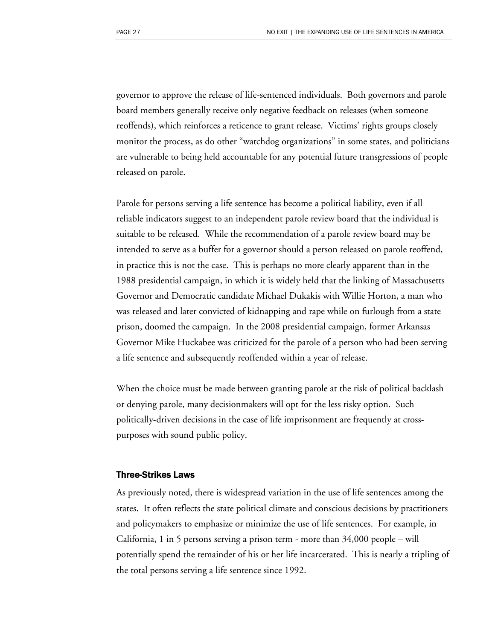governor to approve the release of life-sentenced individuals. Both governors and parole board members generally receive only negative feedback on releases (when someone reoffends), which reinforces a reticence to grant release. Victims' rights groups closely monitor the process, as do other "watchdog organizations" in some states, and politicians are vulnerable to being held accountable for any potential future transgressions of people released on parole.

Parole for persons serving a life sentence has become a political liability, even if all reliable indicators suggest to an independent parole review board that the individual is suitable to be released. While the recommendation of a parole review board may be intended to serve as a buffer for a governor should a person released on parole reoffend, in practice this is not the case. This is perhaps no more clearly apparent than in the 1988 presidential campaign, in which it is widely held that the linking of Massachusetts Governor and Democratic candidate Michael Dukakis with Willie Horton, a man who was released and later convicted of kidnapping and rape while on furlough from a state prison, doomed the campaign. In the 2008 presidential campaign, former Arkansas Governor Mike Huckabee was criticized for the parole of a person who had been serving a life sentence and subsequently reoffended within a year of release.

When the choice must be made between granting parole at the risk of political backlash or denying parole, many decisionmakers will opt for the less risky option. Such politically-driven decisions in the case of life imprisonment are frequently at crosspurposes with sound public policy.

#### Three-Strikes Laws

As previously noted, there is widespread variation in the use of life sentences among the states. It often reflects the state political climate and conscious decisions by practitioners and policymakers to emphasize or minimize the use of life sentences. For example, in California, 1 in 5 persons serving a prison term - more than 34,000 people – will potentially spend the remainder of his or her life incarcerated. This is nearly a tripling of the total persons serving a life sentence since 1992.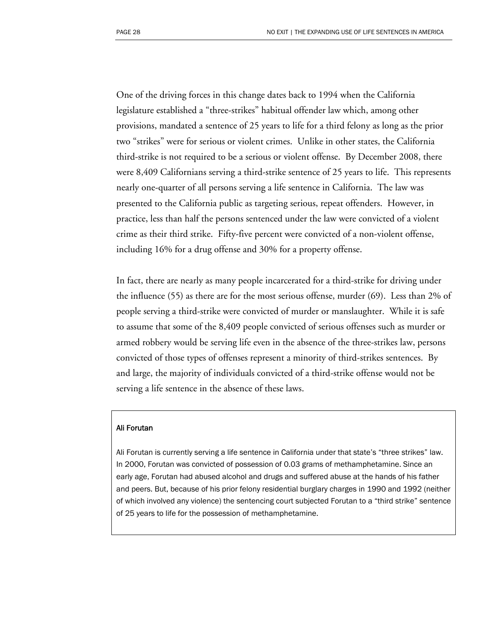One of the driving forces in this change dates back to 1994 when the California legislature established a "three-strikes" habitual offender law which, among other provisions, mandated a sentence of 25 years to life for a third felony as long as the prior two "strikes" were for serious or violent crimes. Unlike in other states, the California third-strike is not required to be a serious or violent offense. By December 2008, there were 8,409 Californians serving a third-strike sentence of 25 years to life. This represents nearly one-quarter of all persons serving a life sentence in California. The law was presented to the California public as targeting serious, repeat offenders. However, in practice, less than half the persons sentenced under the law were convicted of a violent crime as their third strike. Fifty-five percent were convicted of a non-violent offense, including 16% for a drug offense and 30% for a property offense.

In fact, there are nearly as many people incarcerated for a third-strike for driving under the influence (55) as there are for the most serious offense, murder (69). Less than 2% of people serving a third-strike were convicted of murder or manslaughter. While it is safe to assume that some of the 8,409 people convicted of serious offenses such as murder or armed robbery would be serving life even in the absence of the three-strikes law, persons convicted of those types of offenses represent a minority of third-strikes sentences. By and large, the majority of individuals convicted of a third-strike offense would not be serving a life sentence in the absence of these laws.

#### Ali Forutan

Ali Forutan is currently serving a life sentence in California under that state's "three strikes" law. In 2000, Forutan was convicted of possession of 0.03 grams of methamphetamine. Since an early age, Forutan had abused alcohol and drugs and suffered abuse at the hands of his father and peers. But, because of his prior felony residential burglary charges in 1990 and 1992 (neither of which involved any violence) the sentencing court subjected Forutan to a "third strike" sentence of 25 years to life for the possession of methamphetamine.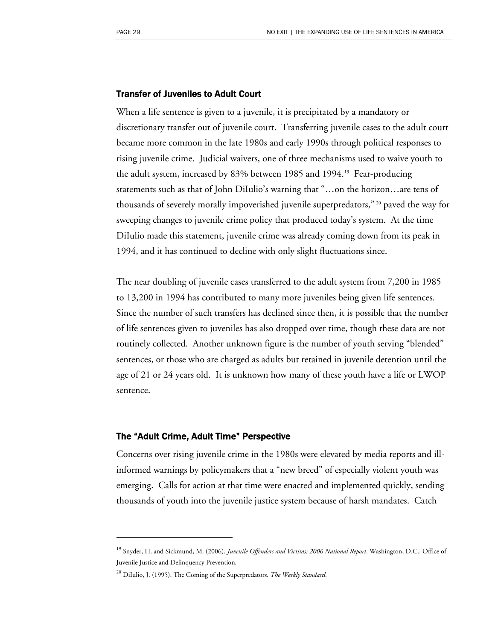#### Transfer of Juveniles to Adult Court

When a life sentence is given to a juvenile, it is precipitated by a mandatory or discretionary transfer out of juvenile court. Transferring juvenile cases to the adult court became more common in the late 1980s and early 1990s through political responses to rising juvenile crime. Judicial waivers, one of three mechanisms used to waive youth to the adult system, increased by 83% between [1](#page-30-0)985 and 1994.<sup>19</sup> Fear-producing statements such as that of John DiIulio's warning that "…on the horizon…are tens of thousands of severely morally impoverished juvenile superpredators," [2](#page-30-1)0 paved the way for sweeping changes to juvenile crime policy that produced today's system. At the time DiIulio made this statement, juvenile crime was already coming down from its peak in 1994, and it has continued to decline with only slight fluctuations since.

The near doubling of juvenile cases transferred to the adult system from 7,200 in 1985 to 13,200 in 1994 has contributed to many more juveniles being given life sentences. Since the number of such transfers has declined since then, it is possible that the number of life sentences given to juveniles has also dropped over time, though these data are not routinely collected. Another unknown figure is the number of youth serving "blended" sentences, or those who are charged as adults but retained in juvenile detention until the age of 21 or 24 years old. It is unknown how many of these youth have a life or LWOP sentence.

#### The "Adult Crime, Adult Time" Perspective

-

Concerns over rising juvenile crime in the 1980s were elevated by media reports and illinformed warnings by policymakers that a "new breed" of especially violent youth was emerging. Calls for action at that time were enacted and implemented quickly, sending thousands of youth into the juvenile justice system because of harsh mandates. Catch

<span id="page-30-0"></span><sup>19</sup> Snyder, H. and Sickmund, M. (2006). *Juvenile Offenders and Victims: 2006 National Report*. Washington, D.C.: Office of Juvenile Justice and Delinquency Prevention.

<span id="page-30-1"></span><sup>20</sup> DiIulio, J. (1995). The Coming of the Superpredators. *The Weekly Standard.*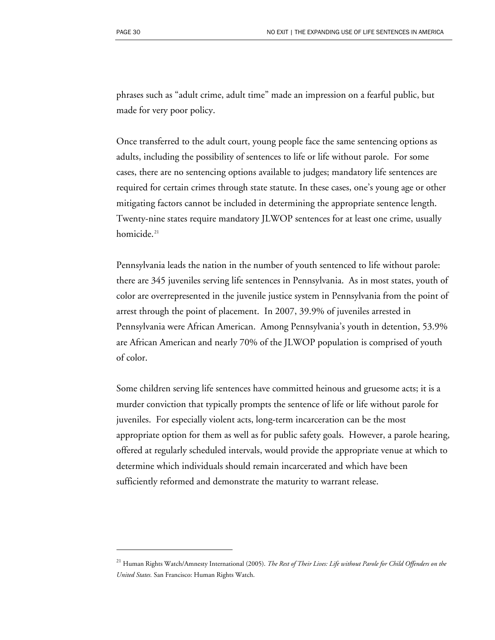$\overline{a}$ 

phrases such as "adult crime, adult time" made an impression on a fearful public, but made for very poor policy.

Once transferred to the adult court, young people face the same sentencing options as adults, including the possibility of sentences to life or life without parole. For some cases, there are no sentencing options available to judges; mandatory life sentences are required for certain crimes through state statute. In these cases, one's young age or other mitigating factors cannot be included in determining the appropriate sentence length. Twenty-nine states require mandatory JLWOP sentences for at least one crime, usually homicide.<sup>[21](#page-31-0)</sup>

Pennsylvania leads the nation in the number of youth sentenced to life without parole: there are 345 juveniles serving life sentences in Pennsylvania. As in most states, youth of color are overrepresented in the juvenile justice system in Pennsylvania from the point of arrest through the point of placement. In 2007, 39.9% of juveniles arrested in Pennsylvania were African American. Among Pennsylvania's youth in detention, 53.9% are African American and nearly 70% of the JLWOP population is comprised of youth of color.

Some children serving life sentences have committed heinous and gruesome acts; it is a murder conviction that typically prompts the sentence of life or life without parole for juveniles. For especially violent acts, long-term incarceration can be the most appropriate option for them as well as for public safety goals. However, a parole hearing, offered at regularly scheduled intervals, would provide the appropriate venue at which to determine which individuals should remain incarcerated and which have been sufficiently reformed and demonstrate the maturity to warrant release.

<span id="page-31-0"></span><sup>21</sup> Human Rights Watch/Amnesty International (2005). *The Rest of Their Lives: Life without Parole for Child Offenders on the United States.* San Francisco: Human Rights Watch.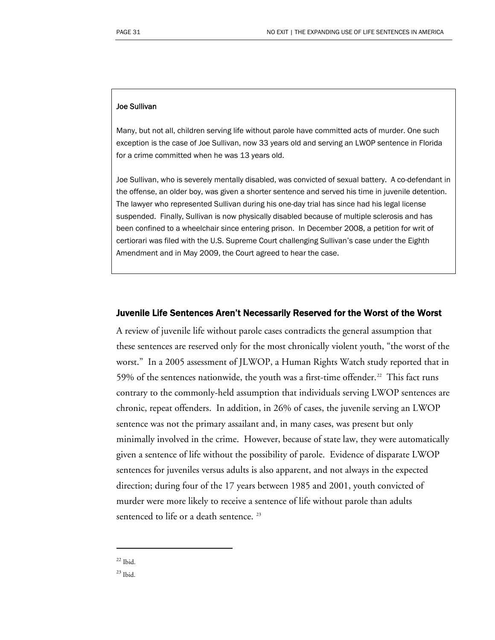#### Joe Sullivan

Many, but not all, children serving life without parole have committed acts of murder. One such exception is the case of Joe Sullivan, now 33 years old and serving an LWOP sentence in Florida for a crime committed when he was 13 years old.

Joe Sullivan, who is severely mentally disabled, was convicted of sexual battery. A co-defendant in the offense, an older boy, was given a shorter sentence and served his time in juvenile detention. The lawyer who represented Sullivan during his one-day trial has since had his legal license suspended. Finally, Sullivan is now physically disabled because of multiple sclerosis and has been confined to a wheelchair since entering prison. In December 2008, a petition for writ of certiorari was filed with the U.S. Supreme Court challenging Sullivan's case under the Eighth Amendment and in May 2009, the Court agreed to hear the case.

#### Juvenile Life Sentences Aren't Necessarily Reserved for the Worst of the Worst

A review of juvenile life without parole cases contradicts the general assumption that these sentences are reserved only for the most chronically violent youth, "the worst of the worst." In a 2005 assessment of JLWOP, a Human Rights Watch study reported that in 59% of the sentences nationwide, the youth was a first-time offender.<sup>[2](#page-32-0)2</sup> This fact runs contrary to the commonly-held assumption that individuals serving LWOP sentences are chronic, repeat offenders. In addition, in 26% of cases, the juvenile serving an LWOP sentence was not the primary assailant and, in many cases, was present but only minimally involved in the crime. However, because of state law, they were automatically given a sentence of life without the possibility of parole. Evidence of disparate LWOP sentences for juveniles versus adults is also apparent, and not always in the expected direction; during four of the 17 years between 1985 and 2001, youth convicted of murder were more likely to receive a sentence of life without parole than adults sentenced to life or a death sentence.<sup>[2](#page-32-1)3</sup>

<span id="page-32-0"></span> $22$  Ibid.

-

<span id="page-32-1"></span> $^{23}$  Ibid.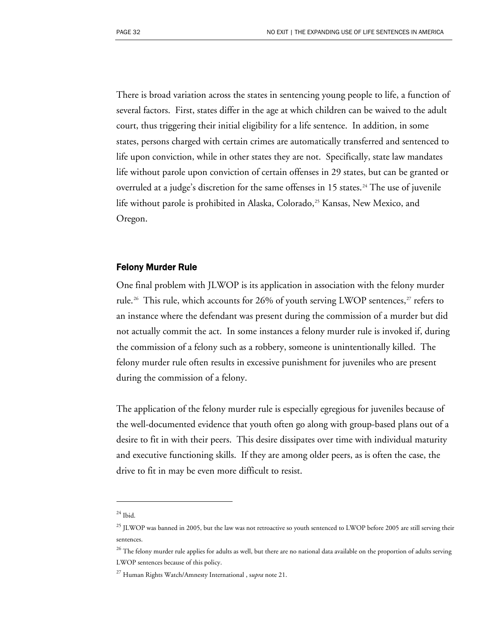There is broad variation across the states in sentencing young people to life, a function of several factors. First, states differ in the age at which children can be waived to the adult court, thus triggering their initial eligibility for a life sentence. In addition, in some states, persons charged with certain crimes are automatically transferred and sentenced to life upon conviction, while in other states they are not. Specifically, state law mandates life without parole upon conviction of certain offenses in 29 states, but can be granted or overruled at a judge's discretion for the same offenses in 15 states.<sup>[24](#page-33-0)</sup> The use of juvenile life without parole is prohibited in Alaska, Colorado,<sup>[25](#page-33-1)</sup> Kansas, New Mexico, and Oregon.

#### Felony Murder Rule

One final problem with JLWOP is its application in association with the felony murder rule.<sup>[2](#page-33-2)6</sup> This rule, which accounts for 26% of youth serving LWOP sentences,<sup>[27](#page-33-3)</sup> refers to an instance where the defendant was present during the commission of a murder but did not actually commit the act. In some instances a felony murder rule is invoked if, during the commission of a felony such as a robbery, someone is unintentionally killed. The felony murder rule often results in excessive punishment for juveniles who are present during the commission of a felony.

The application of the felony murder rule is especially egregious for juveniles because of the well-documented evidence that youth often go along with group-based plans out of a desire to fit in with their peers. This desire dissipates over time with individual maturity and executive functioning skills. If they are among older peers, as is often the case, the drive to fit in may be even more difficult to resist.

 $\overline{a}$ 

<span id="page-33-0"></span> $24$  Ibid.

<span id="page-33-1"></span> $^{25}$  JLWOP was banned in 2005, but the law was not retroactive so youth sentenced to LWOP before 2005 are still serving their sentences.

<span id="page-33-2"></span> $^{26}$  The felony murder rule applies for adults as well, but there are no national data available on the proportion of adults serving LWOP sentences because of this policy.

<span id="page-33-3"></span><sup>27</sup> Human Rights Watch/Amnesty International , s*upra* note 21.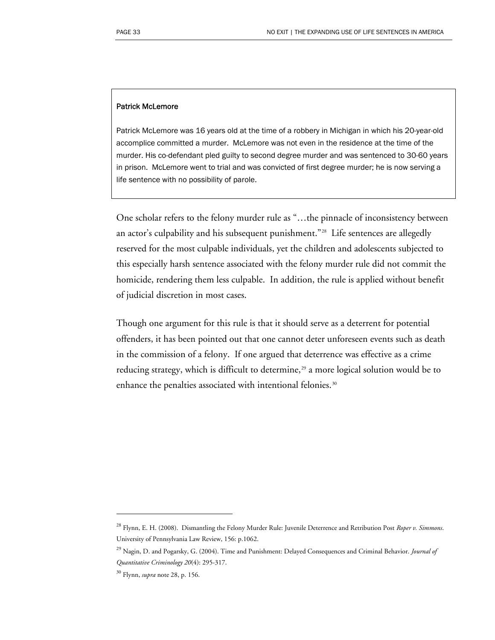#### Patrick McLemore

Patrick McLemore was 16 years old at the time of a robbery in Michigan in which his 20-year-old accomplice committed a murder. McLemore was not even in the residence at the time of the murder. His co-defendant pled guilty to second degree murder and was sentenced to 30-60 years in prison. McLemore went to trial and was convicted of first degree murder; he is now serving a life sentence with no possibility of parole.

One scholar refers to the felony murder rule as "…the pinnacle of inconsistency between an actor's culpability and his subsequent punishment."[2](#page-34-0)8 Life sentences are allegedly reserved for the most culpable individuals, yet the children and adolescents subjected to this especially harsh sentence associated with the felony murder rule did not commit the homicide, rendering them less culpable. In addition, the rule is applied without benefit of judicial discretion in most cases.

Though one argument for this rule is that it should serve as a deterrent for potential offenders, it has been pointed out that one cannot deter unforeseen events such as death in the commission of a felony. If one argued that deterrence was effective as a crime reducing strategy, which is difficult to determine,<sup>[29](#page-34-1)</sup> a more logical solution would be to enhance the penalties associated with intentional felonies.<sup>[30](#page-34-2)</sup>

 $\overline{a}$ 

<span id="page-34-1"></span><span id="page-34-0"></span><sup>28</sup> Flynn, E. H. (2008). Dismantling the Felony Murder Rule: Juvenile Deterrence and Retribution Post *Roper v. Simmons*. University of Pennsylvania Law Review, 156: p.1062.

<sup>29</sup> Nagin, D. and Pogarsky, G. (2004). Time and Punishment: Delayed Consequences and Criminal Behavior. *Journal of Quantitative Criminology 20*(4): 295-317.

<span id="page-34-2"></span><sup>30</sup> Flynn, *supra* note 28, p. 156.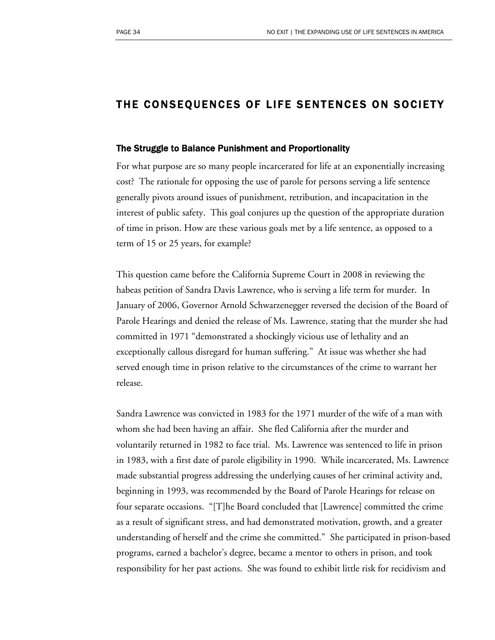# THE CONSEQUENCES OF LIFE SENTENCES ON SOCIETY

#### The Struggle to Balance Punishment and Proportionality

For what purpose are so many people incarcerated for life at an exponentially increasing cost? The rationale for opposing the use of parole for persons serving a life sentence generally pivots around issues of punishment, retribution, and incapacitation in the interest of public safety. This goal conjures up the question of the appropriate duration of time in prison. How are these various goals met by a life sentence, as opposed to a term of 15 or 25 years, for example?

This question came before the California Supreme Court in 2008 in reviewing the habeas petition of Sandra Davis Lawrence, who is serving a life term for murder. In January of 2006, Governor Arnold Schwarzenegger reversed the decision of the Board of Parole Hearings and denied the release of Ms. Lawrence, stating that the murder she had committed in 1971 "demonstrated a shockingly vicious use of lethality and an exceptionally callous disregard for human suffering." At issue was whether she had served enough time in prison relative to the circumstances of the crime to warrant her release.

Sandra Lawrence was convicted in 1983 for the 1971 murder of the wife of a man with whom she had been having an affair. She fled California after the murder and voluntarily returned in 1982 to face trial. Ms. Lawrence was sentenced to life in prison in 1983, with a first date of parole eligibility in 1990. While incarcerated, Ms. Lawrence made substantial progress addressing the underlying causes of her criminal activity and, beginning in 1993, was recommended by the Board of Parole Hearings for release on four separate occasions. "[T]he Board concluded that [Lawrence] committed the crime as a result of significant stress, and had demonstrated motivation, growth, and a greater understanding of herself and the crime she committed." She participated in prison-based programs, earned a bachelor's degree, became a mentor to others in prison, and took responsibility for her past actions. She was found to exhibit little risk for recidivism and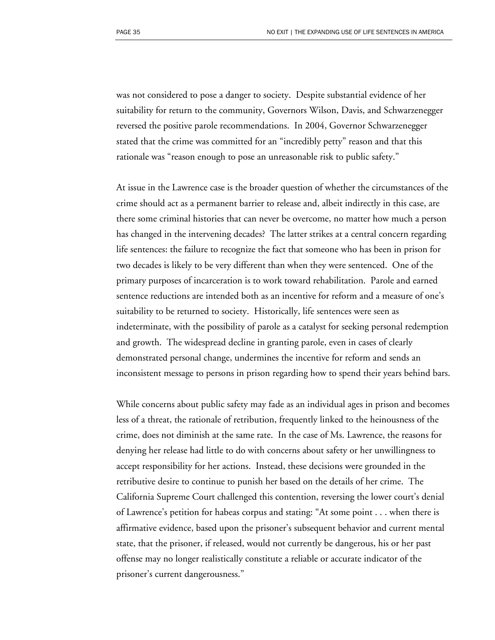was not considered to pose a danger to society. Despite substantial evidence of her suitability for return to the community, Governors Wilson, Davis, and Schwarzenegger reversed the positive parole recommendations. In 2004, Governor Schwarzenegger stated that the crime was committed for an "incredibly petty" reason and that this rationale was "reason enough to pose an unreasonable risk to public safety."

At issue in the Lawrence case is the broader question of whether the circumstances of the crime should act as a permanent barrier to release and, albeit indirectly in this case, are there some criminal histories that can never be overcome, no matter how much a person has changed in the intervening decades? The latter strikes at a central concern regarding life sentences: the failure to recognize the fact that someone who has been in prison for two decades is likely to be very different than when they were sentenced. One of the primary purposes of incarceration is to work toward rehabilitation. Parole and earned sentence reductions are intended both as an incentive for reform and a measure of one's suitability to be returned to society. Historically, life sentences were seen as indeterminate, with the possibility of parole as a catalyst for seeking personal redemption and growth. The widespread decline in granting parole, even in cases of clearly demonstrated personal change, undermines the incentive for reform and sends an inconsistent message to persons in prison regarding how to spend their years behind bars.

While concerns about public safety may fade as an individual ages in prison and becomes less of a threat, the rationale of retribution, frequently linked to the heinousness of the crime, does not diminish at the same rate. In the case of Ms. Lawrence, the reasons for denying her release had little to do with concerns about safety or her unwillingness to accept responsibility for her actions. Instead, these decisions were grounded in the retributive desire to continue to punish her based on the details of her crime. The California Supreme Court challenged this contention, reversing the lower court's denial of Lawrence's petition for habeas corpus and stating: "At some point . . . when there is affirmative evidence, based upon the prisoner's subsequent behavior and current mental state, that the prisoner, if released, would not currently be dangerous, his or her past offense may no longer realistically constitute a reliable or accurate indicator of the prisoner's current dangerousness."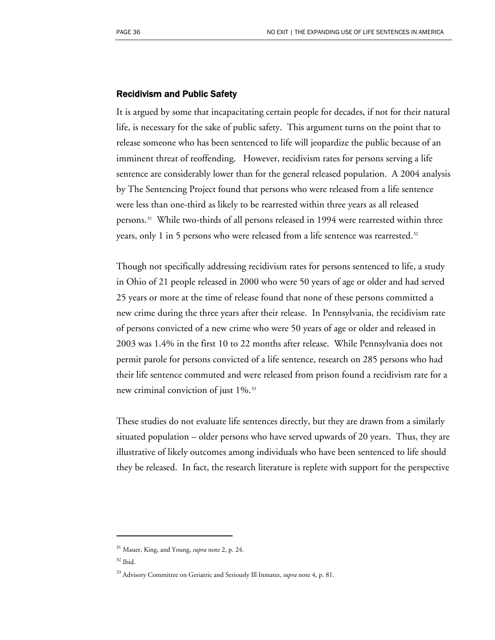#### Recidivism and Public Safety

It is argued by some that incapacitating certain people for decades, if not for their natural life, is necessary for the sake of public safety. This argument turns on the point that to release someone who has been sentenced to life will jeopardize the public because of an imminent threat of reoffending. However, recidivism rates for persons serving a life sentence are considerably lower than for the general released population. A 2004 analysis by The Sentencing Project found that persons who were released from a life sentence were less than one-third as likely to be rearrested within three years as all released persons.<sup>[3](#page-37-0)1</sup> While two-thirds of all persons released in 1994 were rearrested within three years, only 1 in 5 persons who were released from a life sentence was rearrested.<sup>[3](#page-37-1)2</sup>

Though not specifically addressing recidivism rates for persons sentenced to life, a study in Ohio of 21 people released in 2000 who were 50 years of age or older and had served 25 years or more at the time of release found that none of these persons committed a new crime during the three years after their release. In Pennsylvania, the recidivism rate of persons convicted of a new crime who were 50 years of age or older and released in 2003 was 1.4% in the first 10 to 22 months after release. While Pennsylvania does not permit parole for persons convicted of a life sentence, research on 285 persons who had their life sentence commuted and were released from prison found a recidivism rate for a new criminal conviction of just 1%.<sup>[33](#page-37-2)</sup>

These studies do not evaluate life sentences directly, but they are drawn from a similarly situated population – older persons who have served upwards of 20 years. Thus, they are illustrative of likely outcomes among individuals who have been sentenced to life should they be released. In fact, the research literature is replete with support for the perspective

 $\overline{a}$ 

<span id="page-37-0"></span><sup>31</sup> Mauer, King, and Young, *supra* note 2, p. 24.

<span id="page-37-1"></span> $32$  Ibid.

<span id="page-37-2"></span><sup>33</sup> Advisory Committee on Geriatric and Seriously Ill Inmates, *supra* note 4, p. 81.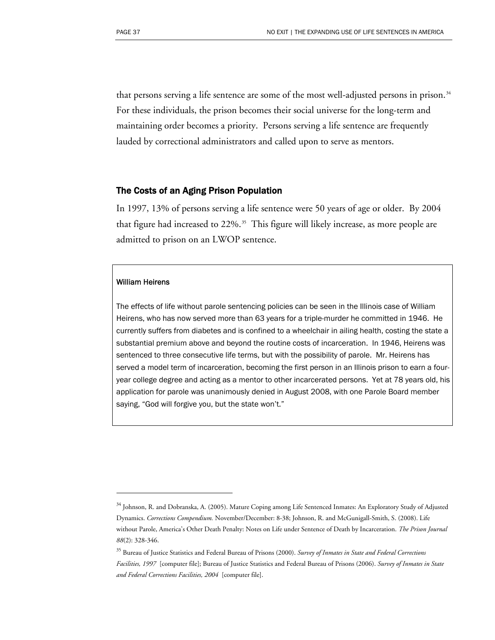that persons serving a life sentence are some of the most well-adjusted persons in prison.<sup>[34](#page-38-0)</sup> For these individuals, the prison becomes their social universe for the long-term and maintaining order becomes a priority. Persons serving a life sentence are frequently lauded by correctional administrators and called upon to serve as mentors.

#### The Costs of an Aging Prison Population

In 1997, 13% of persons serving a life sentence were 50 years of age or older. By 2004 that figure had increased to  $22\%$ .<sup>[35](#page-38-1)</sup> This figure will likely increase, as more people are admitted to prison on an LWOP sentence.

#### William Heirens

 $\overline{a}$ 

The effects of life without parole sentencing policies can be seen in the Illinois case of William Heirens, who has now served more than 63 years for a triple-murder he committed in 1946. He currently suffers from diabetes and is confined to a wheelchair in ailing health, costing the state a substantial premium above and beyond the routine costs of incarceration. In 1946, Heirens was sentenced to three consecutive life terms, but with the possibility of parole. Mr. Heirens has served a model term of incarceration, becoming the first person in an Illinois prison to earn a fouryear college degree and acting as a mentor to other incarcerated persons. Yet at 78 years old, his application for parole was unanimously denied in August 2008, with one Parole Board member saying, "God will forgive you, but the state won't."

<span id="page-38-0"></span><sup>&</sup>lt;sup>34</sup> Johnson, R. and Dobranska, A. (2005). Mature Coping among Life Sentenced Inmates: An Exploratory Study of Adjusted Dynamics. *Corrections Compendium.* November/December: 8-38; Johnson, R. and McGunigall-Smith, S. (2008). Life without Parole, America's Other Death Penalty: Notes on Life under Sentence of Death by Incarceration. *The Prison Journal 88*(2): 328-346.

<span id="page-38-1"></span><sup>35</sup> Bureau of Justice Statistics and Federal Bureau of Prisons (2000). *Survey of Inmates in State and Federal Corrections Facilities, 1997* [computer file]; Bureau of Justice Statistics and Federal Bureau of Prisons (2006). *Survey of Inmates in State and Federal Corrections Facilities, 2004* [computer file].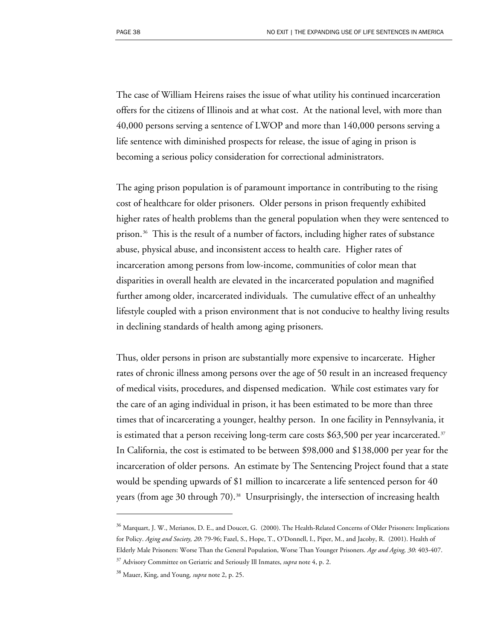The case of William Heirens raises the issue of what utility his continued incarceration offers for the citizens of Illinois and at what cost. At the national level, with more than 40,000 persons serving a sentence of LWOP and more than 140,000 persons serving a life sentence with diminished prospects for release, the issue of aging in prison is becoming a serious policy consideration for correctional administrators.

The aging prison population is of paramount importance in contributing to the rising cost of healthcare for older prisoners. Older persons in prison frequently exhibited higher rates of health problems than the general population when they were sentenced to prison.[36](#page-39-0) This is the result of a number of factors, including higher rates of substance abuse, physical abuse, and inconsistent access to health care. Higher rates of incarceration among persons from low-income, communities of color mean that disparities in overall health are elevated in the incarcerated population and magnified further among older, incarcerated individuals. The cumulative effect of an unhealthy lifestyle coupled with a prison environment that is not conducive to healthy living results in declining standards of health among aging prisoners.

Thus, older persons in prison are substantially more expensive to incarcerate. Higher rates of chronic illness among persons over the age of 50 result in an increased frequency of medical visits, procedures, and dispensed medication. While cost estimates vary for the care of an aging individual in prison, it has been estimated to be more than three times that of incarcerating a younger, healthy person. In one facility in Pennsylvania, it is estimated that a person receiving long-term care costs \$6[3](#page-39-1),500 per year incarcerated. $37$ In California, the cost is estimated to be between \$98,000 and \$138,000 per year for the incarceration of older persons. An estimate by The Sentencing Project found that a state would be spending upwards of \$1 million to incarcerate a life sentenced person for 40 years (from age 30 through 70).<sup>[38](#page-39-2)</sup> Unsurprisingly, the intersection of increasing health

 $\overline{a}$ 

<span id="page-39-0"></span> $36$  Marquart, J. W., Merianos, D. E., and Doucet, G. (2000). The Health-Related Concerns of Older Prisoners: Implications for Policy. *Aging and Society, 20*: 79-96; Fazel, S., Hope, T., O'Donnell, I., Piper, M., and Jacoby, R. (2001). Health of Elderly Male Prisoners: Worse Than the General Population, Worse Than Younger Prisoners. *Age and Aging, 30*: 403-407.

<span id="page-39-1"></span><sup>37</sup> Advisory Committee on Geriatric and Seriously Ill Inmates, *supra* note 4, p. 2.

<span id="page-39-2"></span><sup>38</sup> Mauer, King, and Young*, supra* note 2, p. 25.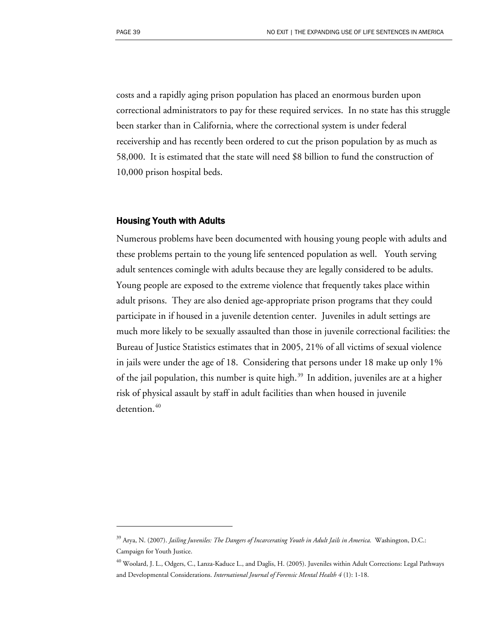$\overline{a}$ 

costs and a rapidly aging prison population has placed an enormous burden upon correctional administrators to pay for these required services. In no state has this struggle been starker than in California, where the correctional system is under federal receivership and has recently been ordered to cut the prison population by as much as 58,000. It is estimated that the state will need \$8 billion to fund the construction of 10,000 prison hospital beds.

#### Housing Youth with Adults

Numerous problems have been documented with housing young people with adults and these problems pertain to the young life sentenced population as well. Youth serving adult sentences comingle with adults because they are legally considered to be adults. Young people are exposed to the extreme violence that frequently takes place within adult prisons. They are also denied age-appropriate prison programs that they could participate in if housed in a juvenile detention center. Juveniles in adult settings are much more likely to be sexually assaulted than those in juvenile correctional facilities: the Bureau of Justice Statistics estimates that in 2005, 21% of all victims of sexual violence in jails were under the age of 18. Considering that persons under 18 make up only 1% of the jail population, this number is quite high.<sup>[39](#page-40-0)</sup> In addition, juveniles are at a higher risk of physical assault by staff in adult facilities than when housed in juvenile detention.<sup>[40](#page-40-1)</sup>

<span id="page-40-0"></span><sup>39</sup> Arya, N. (2007). *Jailing Juveniles: The Dangers of Incarcerating Youth in Adult Jails in America.* Washington, D.C.: Campaign for Youth Justice.

<span id="page-40-1"></span><sup>40</sup> Woolard, J. L., Odgers, C., Lanza-Kaduce L., and Daglis, H. (2005). Juveniles within Adult Corrections: Legal Pathways and Developmental Considerations. *International Journal of Forensic Mental Health 4* (1): 1-18.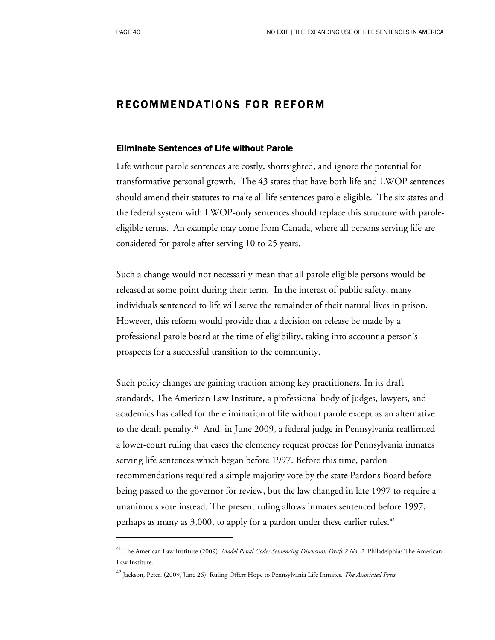$\overline{a}$ 

### RECOMMENDATIONS FOR REFORM

#### Eliminate Sentences of Life without Parole

Life without parole sentences are costly, shortsighted, and ignore the potential for transformative personal growth. The 43 states that have both life and LWOP sentences should amend their statutes to make all life sentences parole-eligible. The six states and the federal system with LWOP-only sentences should replace this structure with paroleeligible terms. An example may come from Canada, where all persons serving life are considered for parole after serving 10 to 25 years.

Such a change would not necessarily mean that all parole eligible persons would be released at some point during their term. In the interest of public safety, many individuals sentenced to life will serve the remainder of their natural lives in prison. However, this reform would provide that a decision on release be made by a professional parole board at the time of eligibility, taking into account a person's prospects for a successful transition to the community.

Such policy changes are gaining traction among key practitioners. In its draft standards, The American Law Institute, a professional body of judges, lawyers, and academics has called for the elimination of life without parole except as an alternative to the death penalty.[4](#page-41-0)1 And, in June 2009, a federal judge in Pennsylvania reaffirmed a lower-court ruling that eases the clemency request process for Pennsylvania inmates serving life sentences which began before 1997. Before this time, pardon recommendations required a simple majority vote by the state Pardons Board before being passed to the governor for review, but the law changed in late 1997 to require a unanimous vote instead. The present ruling allows inmates sentenced before 1997, perhaps as many as  $3,000$ , to apply for a pardon under these earlier rules.<sup>[4](#page-41-1)2</sup>

<span id="page-41-0"></span><sup>41</sup> The American Law Institute (2009). *Model Penal Code: Sentencing Discussion Draft 2 No. 2*. Philadelphia: The American Law Institute.

<span id="page-41-1"></span><sup>42</sup> Jackson, Peter. (2009, June 26). Ruling Offers Hope to Pennsylvania Life Inmates. *The Associated Press.*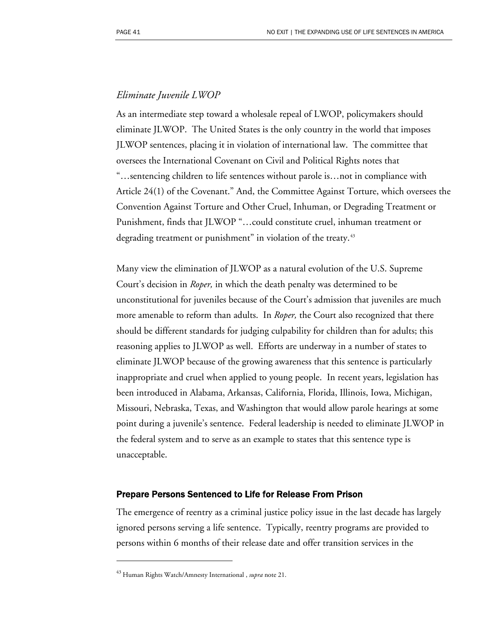### *Eliminate Juvenile LWOP*

As an intermediate step toward a wholesale repeal of LWOP, policymakers should eliminate JLWOP. The United States is the only country in the world that imposes JLWOP sentences, placing it in violation of international law. The committee that oversees the International Covenant on Civil and Political Rights notes that "…sentencing children to life sentences without parole is…not in compliance with Article 24(1) of the Covenant." And, the Committee Against Torture, which oversees the Convention Against Torture and Other Cruel, Inhuman, or Degrading Treatment or Punishment, finds that JLWOP "…could constitute cruel, inhuman treatment or degrading treatment or punishment" in violation of the treaty.<sup>[4](#page-42-0)3</sup>

Many view the elimination of JLWOP as a natural evolution of the U.S. Supreme Court's decision in *Roper,* in which the death penalty was determined to be unconstitutional for juveniles because of the Court's admission that juveniles are much more amenable to reform than adults. In *Roper,* the Court also recognized that there should be different standards for judging culpability for children than for adults; this reasoning applies to JLWOP as well. Efforts are underway in a number of states to eliminate JLWOP because of the growing awareness that this sentence is particularly inappropriate and cruel when applied to young people. In recent years, legislation has been introduced in Alabama, Arkansas, California, Florida, Illinois, Iowa, Michigan, Missouri, Nebraska, Texas, and Washington that would allow parole hearings at some point during a juvenile's sentence. Federal leadership is needed to eliminate JLWOP in the federal system and to serve as an example to states that this sentence type is unacceptable.

#### Prepare Persons Sentenced to Life for Release From Prison

The emergence of reentry as a criminal justice policy issue in the last decade has largely ignored persons serving a life sentence. Typically, reentry programs are provided to persons within 6 months of their release date and offer transition services in the

 $\overline{a}$ 

<span id="page-42-0"></span><sup>43</sup> Human Rights Watch/Amnesty International , *supra* note 21.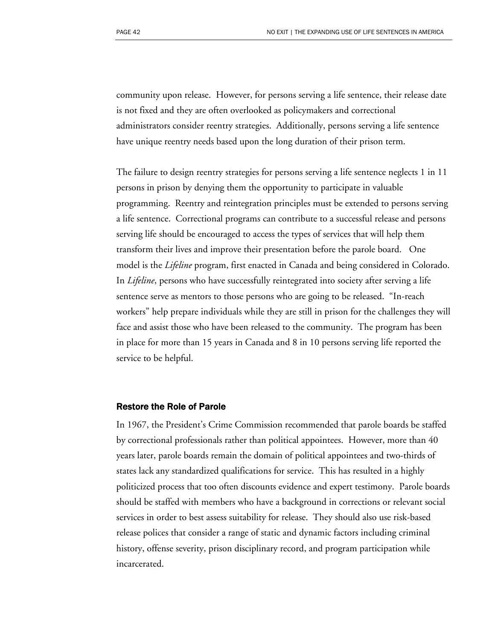community upon release. However, for persons serving a life sentence, their release date is not fixed and they are often overlooked as policymakers and correctional administrators consider reentry strategies. Additionally, persons serving a life sentence have unique reentry needs based upon the long duration of their prison term.

The failure to design reentry strategies for persons serving a life sentence neglects 1 in 11 persons in prison by denying them the opportunity to participate in valuable programming. Reentry and reintegration principles must be extended to persons serving a life sentence. Correctional programs can contribute to a successful release and persons serving life should be encouraged to access the types of services that will help them transform their lives and improve their presentation before the parole board. One model is the *Lifeline* program, first enacted in Canada and being considered in Colorado. In *Lifeline*, persons who have successfully reintegrated into society after serving a life sentence serve as mentors to those persons who are going to be released. "In-reach workers" help prepare individuals while they are still in prison for the challenges they will face and assist those who have been released to the community. The program has been in place for more than 15 years in Canada and 8 in 10 persons serving life reported the service to be helpful.

#### Restore the Role of Parole

In 1967, the President's Crime Commission recommended that parole boards be staffed by correctional professionals rather than political appointees. However, more than 40 years later, parole boards remain the domain of political appointees and two-thirds of states lack any standardized qualifications for service. This has resulted in a highly politicized process that too often discounts evidence and expert testimony. Parole boards should be staffed with members who have a background in corrections or relevant social services in order to best assess suitability for release. They should also use risk-based release polices that consider a range of static and dynamic factors including criminal history, offense severity, prison disciplinary record, and program participation while incarcerated.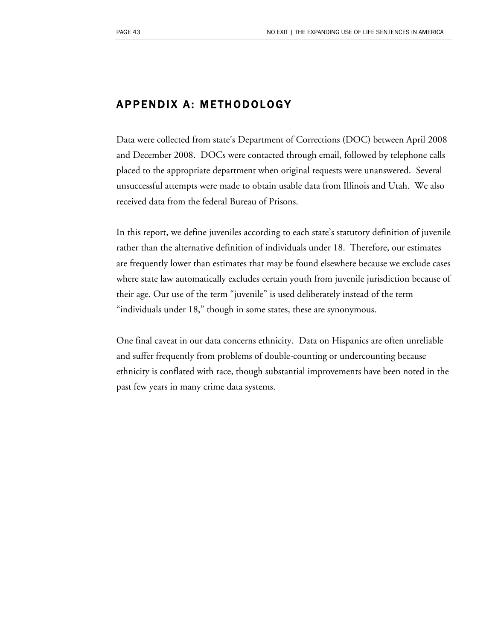## APPENDIX A: METHODOLOGY

Data were collected from state's Department of Corrections (DOC) between April 2008 and December 2008. DOCs were contacted through email, followed by telephone calls placed to the appropriate department when original requests were unanswered. Several unsuccessful attempts were made to obtain usable data from Illinois and Utah. We also received data from the federal Bureau of Prisons.

In this report, we define juveniles according to each state's statutory definition of juvenile rather than the alternative definition of individuals under 18. Therefore, our estimates are frequently lower than estimates that may be found elsewhere because we exclude cases where state law automatically excludes certain youth from juvenile jurisdiction because of their age. Our use of the term "juvenile" is used deliberately instead of the term "individuals under 18," though in some states, these are synonymous.

One final caveat in our data concerns ethnicity. Data on Hispanics are often unreliable and suffer frequently from problems of double-counting or undercounting because ethnicity is conflated with race, though substantial improvements have been noted in the past few years in many crime data systems.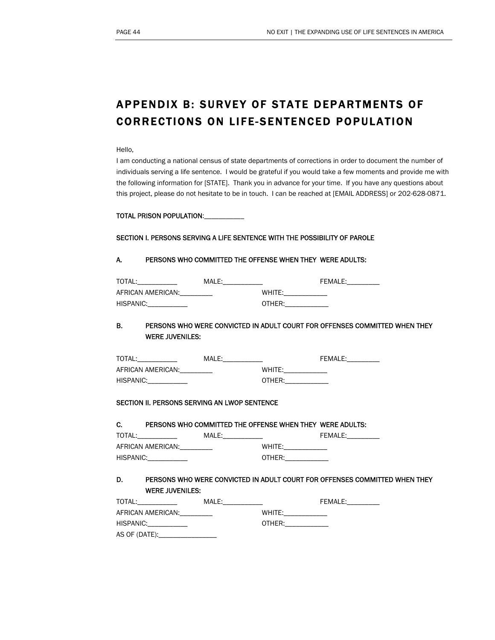# APPENDIX B: SURVEY OF STATE DEPARTMENTS OF CORRECTIONS ON LIFE-SENTENCED POPULATION

#### Hello,

I am conducting a national census of state departments of corrections in order to document the number of individuals serving a life sentence. I would be grateful if you would take a few moments and provide me with the following information for [STATE]. Thank you in advance for your time. If you have any questions about this project, please do not hesitate to be in touch. I can be reached at [EMAIL ADDRESS] or 202-628-0871.

#### TOTAL PRISON POPULATION:

#### SECTION I. PERSONS SERVING A LIFE SENTENCE WITH THE POSSIBILITY OF PAROLE

#### A. PERSONS WHO COMMITTED THE OFFENSE WHEN THEY WERE ADULTS:

| TOTAL:            | MALE: |              | <b>FEMALE:</b> |
|-------------------|-------|--------------|----------------|
| AFRICAN AMERICAN: |       | <b>WHITF</b> |                |
| HISPANIC:         |       | OTHER:       |                |

#### B. PERSONS WHO WERE CONVICTED IN ADULT COURT FOR OFFENSES COMMITTED WHEN THEY WERE JUVENILES:

| TOTAL:            | MALE: |        | <b>FEMALE:</b> |
|-------------------|-------|--------|----------------|
| AFRICAN AMERICAN: |       | WHITF: |                |
| HISPANIC:         |       | OTHER: |                |

#### SECTION II. PERSONS SERVING AN LWOP SENTENCE

#### C. PERSONS WHO COMMITTED THE OFFENSE WHEN THEY WERE ADULTS:

| TOTAL:            | MALE: |        | <b>FFMALF:</b> |
|-------------------|-------|--------|----------------|
| AFRICAN AMERICAN: |       | WHITE: |                |
| HISPANIC:         |       | OTHER: |                |

#### D. PERSONS WHO WERE CONVICTED IN ADULT COURT FOR OFFENSES COMMITTED WHEN THEY WERE JUVENILES:

| TOTAL:            | MALE: | FEMALE: |
|-------------------|-------|---------|
| AFRICAN AMERICAN: |       | WHITE:  |
| HISPANIC:         |       | OTHER:  |
| AS OF (DATE):_    |       |         |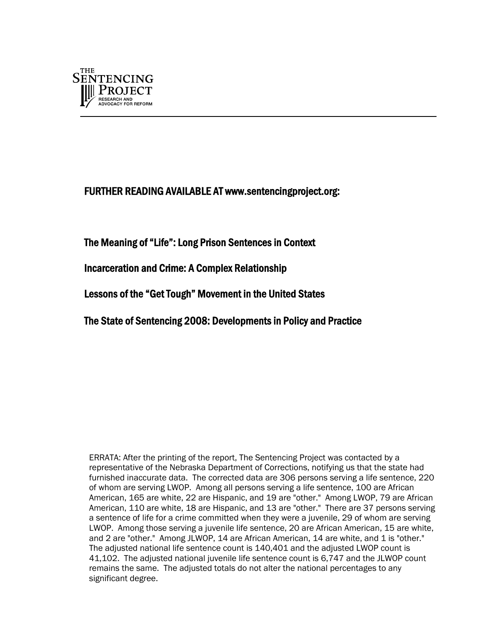

### FURTHER READING AVAILABLE AT www.sentencingproject.org:

The Meaning of "Life": Long Prison Sentences in Context

Incarceration and Crime: A Complex Relationship

Lessons of the "Get Tough" Movement in the United States

The State of Sentencing 2008: Developments in Policy and Practice

ERRATA: After the printing of the report, The Sentencing Project was contacted by a representative of the Nebraska Department of Corrections, notifying us that the state had furnished inaccurate data. The corrected data are 306 persons serving a life sentence, 220 of whom are serving LWOP. Among all persons serving a life sentence, 100 are African American, 165 are white, 22 are Hispanic, and 19 are "other." Among LWOP, 79 are African American, 110 are white, 18 are Hispanic, and 13 are "other." There are 37 persons serving a sentence of life for a crime committed when they were a juvenile, 29 of whom are serving LWOP. Among those serving a juvenile life sentence, 20 are African American, 15 are white, and 2 are "other." Among JLWOP, 14 are African American, 14 are white, and 1 is "other." The adjusted national life sentence count is 140,401 and the adjusted LWOP count is 41,102. The adjusted national juvenile life sentence count is 6,747 and the JLWOP count remains the same. The adjusted totals do not alter the national percentages to any significant degree.